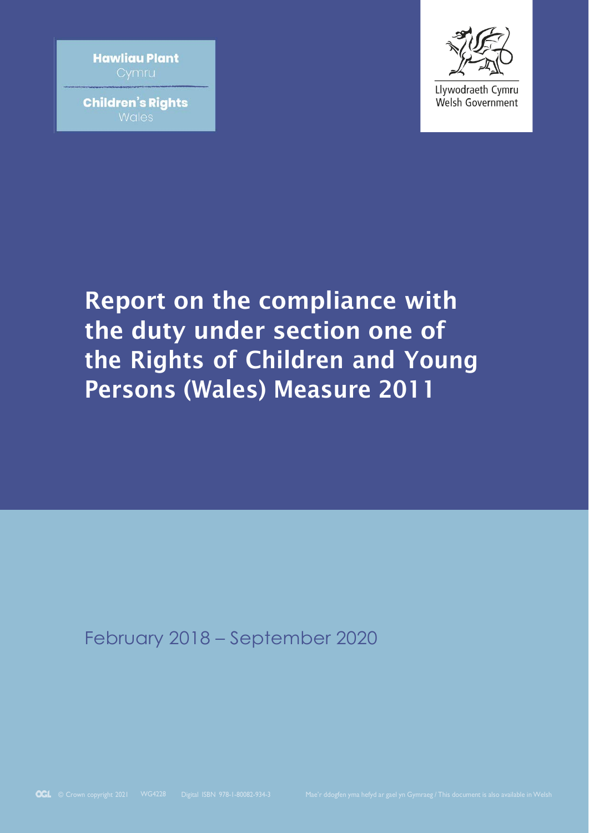**Hawliau Plant** 

**Children's Rights Wales** 



Llywodraeth Cymru Welsh Government

# Report on the compliance with the duty under section one of the Rights of Children and Young Persons (Wales) Measure 2011

February 2018 – September 2020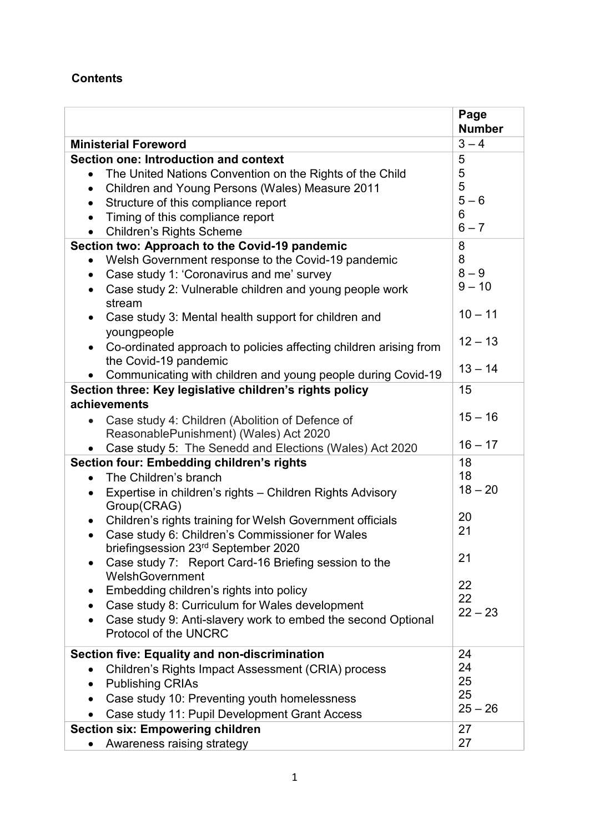#### **Contents**

|                                                                                                                 | Page<br><b>Number</b> |
|-----------------------------------------------------------------------------------------------------------------|-----------------------|
| <b>Ministerial Foreword</b>                                                                                     | $3 - 4$               |
| Section one: Introduction and context                                                                           | 5                     |
| The United Nations Convention on the Rights of the Child<br>$\bullet$                                           | 5                     |
| Children and Young Persons (Wales) Measure 2011<br>$\bullet$                                                    | 5                     |
| Structure of this compliance report<br>$\bullet$                                                                | $5 - 6$               |
| Timing of this compliance report<br>$\bullet$                                                                   | 6                     |
| <b>Children's Rights Scheme</b>                                                                                 | $6 - 7$               |
| Section two: Approach to the Covid-19 pandemic                                                                  | 8                     |
| Welsh Government response to the Covid-19 pandemic<br>$\bullet$                                                 | 8                     |
| Case study 1: 'Coronavirus and me' survey<br>$\bullet$                                                          | $8 - 9$               |
| Case study 2: Vulnerable children and young people work<br>$\bullet$<br>stream                                  | $9 - 10$              |
| Case study 3: Mental health support for children and<br>$\bullet$<br>youngpeople                                | $10 - 11$             |
| Co-ordinated approach to policies affecting children arising from<br>the Covid-19 pandemic                      | $12 - 13$             |
| Communicating with children and young people during Covid-19                                                    | $13 - 14$             |
| Section three: Key legislative children's rights policy                                                         | 15                    |
| achievements                                                                                                    |                       |
| Case study 4: Children (Abolition of Defence of                                                                 | $15 - 16$             |
| ReasonablePunishment) (Wales) Act 2020                                                                          |                       |
| Case study 5: The Senedd and Elections (Wales) Act 2020                                                         | $16 - 17$             |
| Section four: Embedding children's rights                                                                       | 18                    |
| The Children's branch<br>$\bullet$                                                                              | 18                    |
| Expertise in children's rights - Children Rights Advisory<br>$\bullet$<br>Group(CRAG)                           | $18 - 20$             |
| Children's rights training for Welsh Government officials<br>$\bullet$                                          | 20                    |
| Case study 6: Children's Commissioner for Wales<br>$\bullet$<br>briefingsession 23 <sup>rd</sup> September 2020 | 21                    |
| Case study 7: Report Card-16 Briefing session to the<br>WelshGovernment                                         | 21                    |
| Embedding children's rights into policy<br>٠                                                                    | 22                    |
| Case study 8: Curriculum for Wales development                                                                  | 22                    |
| Case study 9: Anti-slavery work to embed the second Optional<br><b>Protocol of the UNCRC</b>                    | $22 - 23$             |
| <b>Section five: Equality and non-discrimination</b>                                                            | 24                    |
| Children's Rights Impact Assessment (CRIA) process<br>$\bullet$                                                 | 24                    |
| <b>Publishing CRIAs</b><br>$\bullet$                                                                            | 25                    |
| Case study 10: Preventing youth homelessness                                                                    | 25                    |
| Case study 11: Pupil Development Grant Access<br>$\bullet$                                                      | $25 - 26$             |
| <b>Section six: Empowering children</b>                                                                         | 27                    |
| Awareness raising strategy                                                                                      | 27                    |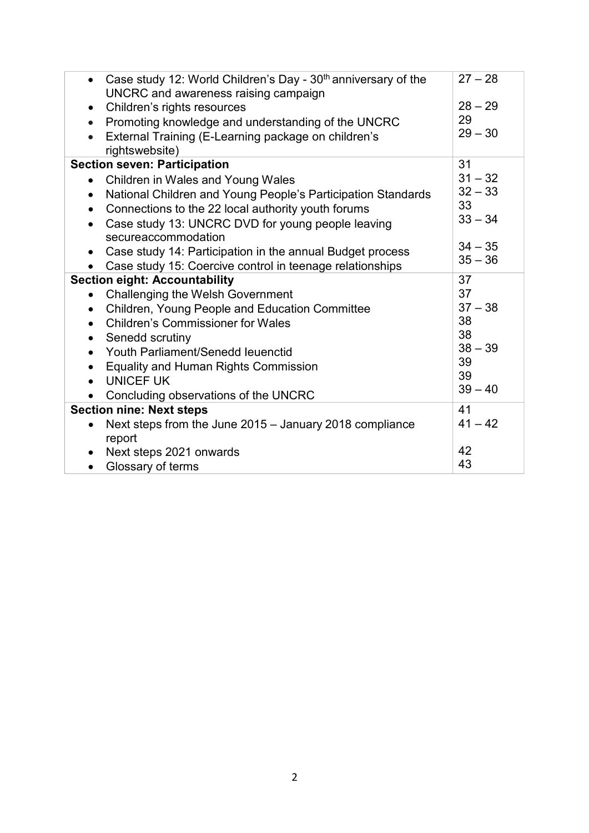| Case study 12: World Children's Day - 30 <sup>th</sup> anniversary of the<br>$\bullet$<br>UNCRC and awareness raising campaign | $27 - 28$ |
|--------------------------------------------------------------------------------------------------------------------------------|-----------|
| Children's rights resources<br>$\bullet$                                                                                       | $28 - 29$ |
| Promoting knowledge and understanding of the UNCRC<br>$\bullet$                                                                | 29        |
| External Training (E-Learning package on children's<br>$\bullet$<br>rightswebsite)                                             | $29 - 30$ |
| <b>Section seven: Participation</b>                                                                                            | 31        |
| Children in Wales and Young Wales<br>$\bullet$                                                                                 | $31 - 32$ |
| National Children and Young People's Participation Standards<br>$\bullet$                                                      | $32 - 33$ |
| Connections to the 22 local authority youth forums<br>$\bullet$                                                                | 33        |
| Case study 13: UNCRC DVD for young people leaving<br>$\bullet$<br>secureaccommodation                                          | $33 - 34$ |
| Case study 14: Participation in the annual Budget process<br>$\bullet$                                                         | $34 - 35$ |
| Case study 15: Coercive control in teenage relationships                                                                       | $35 - 36$ |
| <b>Section eight: Accountability</b>                                                                                           | 37        |
| <b>Challenging the Welsh Government</b><br>$\bullet$                                                                           | 37        |
| Children, Young People and Education Committee<br>$\bullet$                                                                    | $37 - 38$ |
| <b>Children's Commissioner for Wales</b>                                                                                       | 38        |
| Senedd scrutiny<br>$\bullet$                                                                                                   | 38        |
| Youth Parliament/Senedd leuenctid<br>$\bullet$                                                                                 | $38 - 39$ |
| <b>Equality and Human Rights Commission</b><br>$\bullet$                                                                       | 39        |
| <b>UNICEF UK</b><br>$\bullet$                                                                                                  | 39        |
| Concluding observations of the UNCRC<br>$\bullet$                                                                              | $39 - 40$ |
| <b>Section nine: Next steps</b>                                                                                                | 41        |
| Next steps from the June 2015 - January 2018 compliance<br>$\bullet$                                                           | $41 - 42$ |
| report                                                                                                                         |           |
|                                                                                                                                |           |
| Next steps 2021 onwards<br>$\bullet$                                                                                           | 42<br>43  |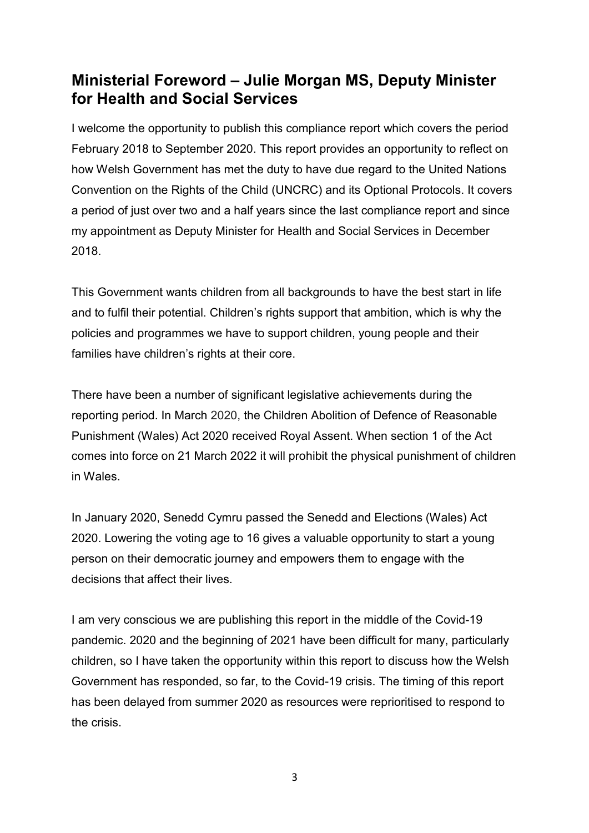### **Ministerial Foreword – Julie Morgan MS, Deputy Minister for Health and Social Services**

I welcome the opportunity to publish this compliance report which covers the period February 2018 to September 2020. This report provides an opportunity to reflect on how Welsh Government has met the duty to have due regard to the United Nations Convention on the Rights of the Child (UNCRC) and its Optional Protocols. It covers a period of just over two and a half years since the last compliance report and since my appointment as Deputy Minister for Health and Social Services in December 2018.

This Government wants children from all backgrounds to have the best start in life and to fulfil their potential. Children's rights support that ambition, which is why the policies and programmes we have to support children, young people and their families have children's rights at their core.

There have been a number of significant legislative achievements during the reporting period. In March 2020, the Children Abolition of Defence of Reasonable Punishment (Wales) Act 2020 received Royal Assent. When section 1 of the Act comes into force on 21 March 2022 it will prohibit the physical punishment of children in Wales.

In January 2020, Senedd Cymru passed the Senedd and Elections (Wales) Act 2020. Lowering the voting age to 16 gives a valuable opportunity to start a young person on their democratic journey and empowers them to engage with the decisions that affect their lives.

I am very conscious we are publishing this report in the middle of the Covid-19 pandemic. 2020 and the beginning of 2021 have been difficult for many, particularly children, so I have taken the opportunity within this report to discuss how the Welsh Government has responded, so far, to the Covid-19 crisis. The timing of this report has been delayed from summer 2020 as resources were reprioritised to respond to the crisis.

3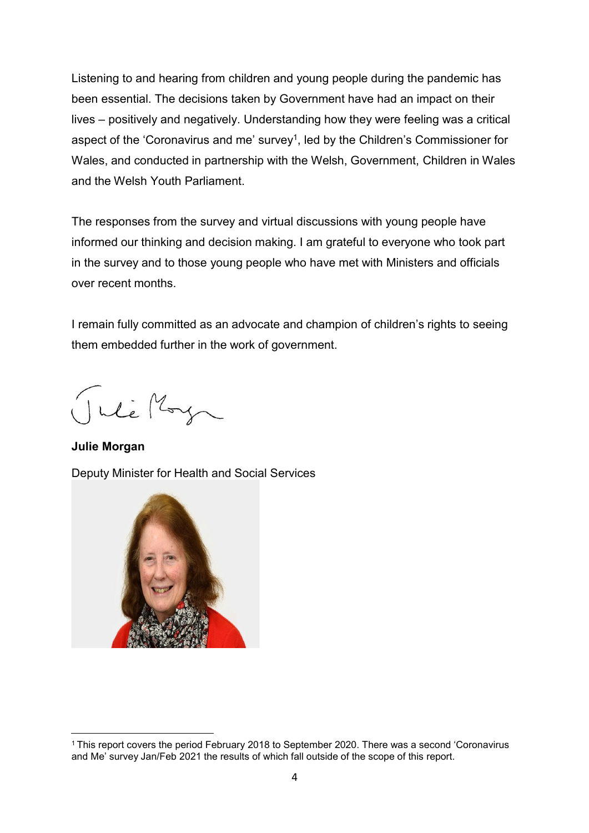Listening to and hearing from children and young people during the pandemic has been essential. The decisions taken by Government have had an impact on their lives – positively and negatively. Understanding how they were feeling was a critical aspect of the 'Coronavirus and me' survey1, led by the Children's Commissioner for Wales, and conducted in partnership with the Welsh, Government, Children in Wales and the Welsh Youth Parliament.

The responses from the survey and virtual discussions with young people have informed our thinking and decision making. I am grateful to everyone who took part in the survey and to those young people who have met with Ministers and officials over recent months.

I remain fully committed as an advocate and champion of children's rights to seeing them embedded further in the work of government.

Inte May

**Julie Morgan** Deputy Minister for Health and Social Services



<sup>1</sup> This report covers the period February 2018 to September 2020. There was a second 'Coronavirus and Me' survey Jan/Feb 2021 the results of which fall outside of the scope of this report.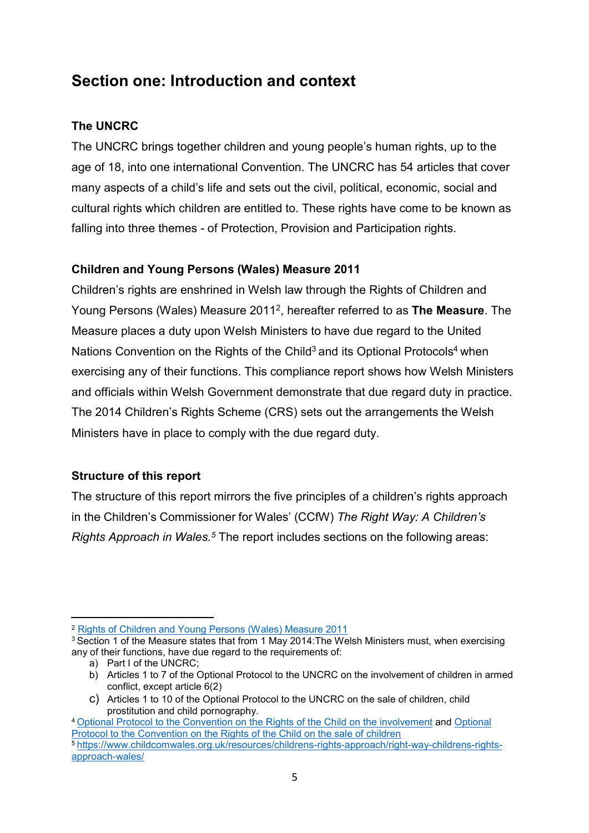### **Section one: Introduction and context**

#### **The UNCRC**

The UNCRC brings together children and young people's human rights, up to the age of 18, into one international Convention. The UNCRC has 54 articles that cover many aspects of a child's life and sets out the civil, political, economic, social and cultural rights which children are entitled to. These rights have come to be known as falling into three themes - of Protection, Provision and Participation rights.

#### **Children and Young Persons (Wales) Measure 2011**

Children's rights are enshrined in Welsh law through the Rights of Children and Young Persons (Wales) Measure 20112, hereafter referred to as **The Measure**. The Measure places a duty upon Welsh Ministers to have due regard to the United Nations Convention on the Rights of the Child<sup>3</sup> and its Optional Protocols<sup>4</sup> when exercising any of their functions. This compliance report shows how Welsh Ministers and officials within Welsh Government demonstrate that due regard duty in practice. The 2014 Children's Rights Scheme (CRS) sets out the arrangements the Welsh Ministers have in place to comply with the due regard duty.

#### **Structure of this report**

The structure of this report mirrors the five principles of a children's rights approach in the Children's Commissioner for Wales' (CCfW) *The Right Way: A Children's Rights Approach in Wales.5* The report includes sections on the following areas:

<sup>2</sup> Rights of Children and Young Persons (Wales) [Measure](https://www.legislation.gov.uk/mwa/2011/2/contents) 2011

<sup>&</sup>lt;sup>3</sup> Section 1 of the Measure states that from 1 May 2014: The Welsh Ministers must, when exercising any of their functions, have due regard to the requirements of:

a) Part I of the UNCRC;

b) Articles 1 to 7 of the Optional Protocol to the UNCRC on the involvement of children in armed conflict, except article 6(2)

c) Articles 1 to 10 of the Optional Protocol to the UNCRC on the sale of children, child prostitution and child pornography.

<sup>4</sup> [Optional Protocol to the Convention on the Rights of the Child on the involvement](https://www.ohchr.org/EN/HRBodies/CRC/Pages/CRCIndex.aspx) and [Optional](https://www.ohchr.org/EN/ProfessionalInterest/Pages/OPSCCRC.aspx) Protocol to the [Convention on](https://www.ohchr.org/EN/ProfessionalInterest/Pages/OPSCCRC.aspx) the Rights of the Child on the sale of children 5 [https://www.childcomwales.org.uk/resources/childrens-rights-approach/right-way-childrens-rights](https://www.childcomwales.org.uk/resources/childrens-rights-approach/right-way-childrens-rights-approach-wales/)[approach-wales/](https://www.childcomwales.org.uk/resources/childrens-rights-approach/right-way-childrens-rights-approach-wales/)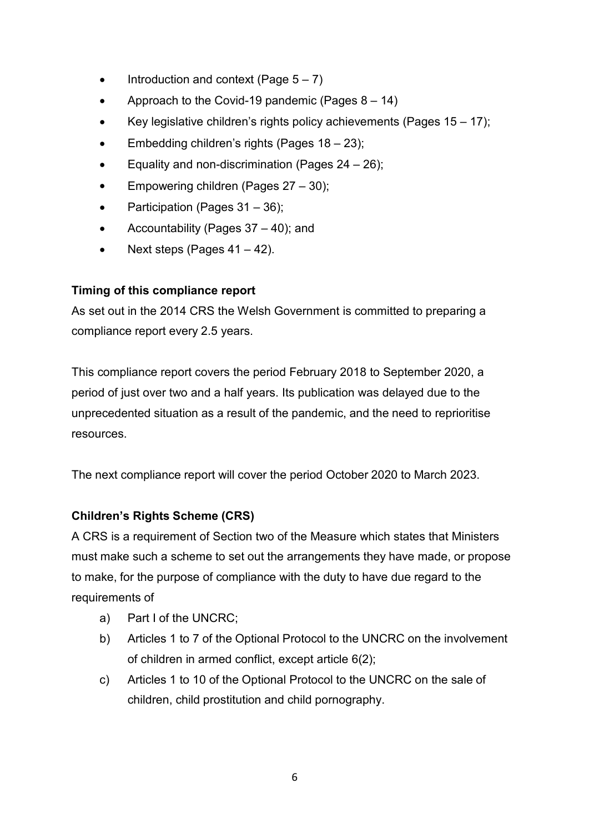- Introduction and context (Page  $5 - 7$ )
- Approach to the Covid-19 pandemic (Pages  $8 - 14$ )
- Key legislative children's rights policy achievements (Pages  $15 - 17$ );
- Embedding children's rights (Pages 18 – 23);
- Equality and non-discrimination (Pages  $24 - 26$ );
- Empowering children (Pages 27 – 30);
- Participation (Pages 31 – 36);
- $\bullet$ Accountability (Pages 37 – 40); and
- Next steps (Pages  $41 - 42$ ).

#### **Timing of this compliance report**

As set out in the 2014 CRS the Welsh Government is committed to preparing a compliance report every 2.5 years.

This compliance report covers the period February 2018 to September 2020, a period of just over two and a half years. Its publication was delayed due to the unprecedented situation as a result of the pandemic, and the need to reprioritise resources.

The next compliance report will cover the period October 2020 to March 2023.

#### **Children's Rights Scheme (CRS)**

A CRS is a requirement of Section two of the Measure which states that Ministers must make such a scheme to set out the arrangements they have made, or propose to make, for the purpose of compliance with the duty to have due regard to the requirements of

- a) Part I of the UNCRC;
- b) Articles 1 to 7 of the Optional Protocol to the UNCRC on the involvement of children in armed conflict, except article 6(2);
- Articles 1 to 10 of the Optional Protocol to the UNCRC on the sale of children, child prostitution and child pornography. c)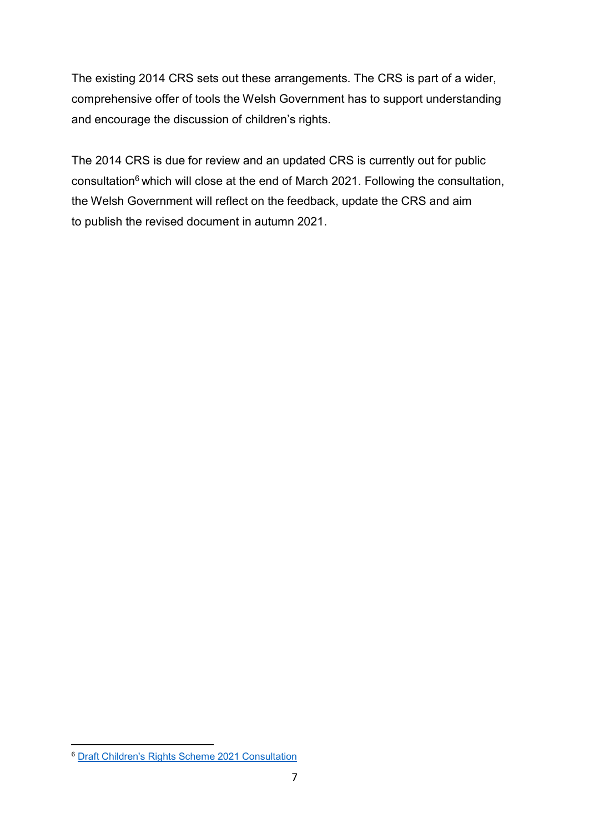The existing 2014 CRS sets out these arrangements. The CRS is part of a wider, comprehensive offer of tools the Welsh Government has to support understanding and encourage the discussion of children's rights.

The 2014 CRS is due for review and an updated CRS is currently out for public consultation<sup>6</sup> which will close at the end of March 2021. Following the consultation, the Welsh Government will reflect on the feedback, update the CRS and aim to publish the revised document in autumn 2021.

<sup>6</sup> Draft Children's Rights Scheme 2021 [Consultation](https://gov.wales/draft-childrens-rights-scheme-2021)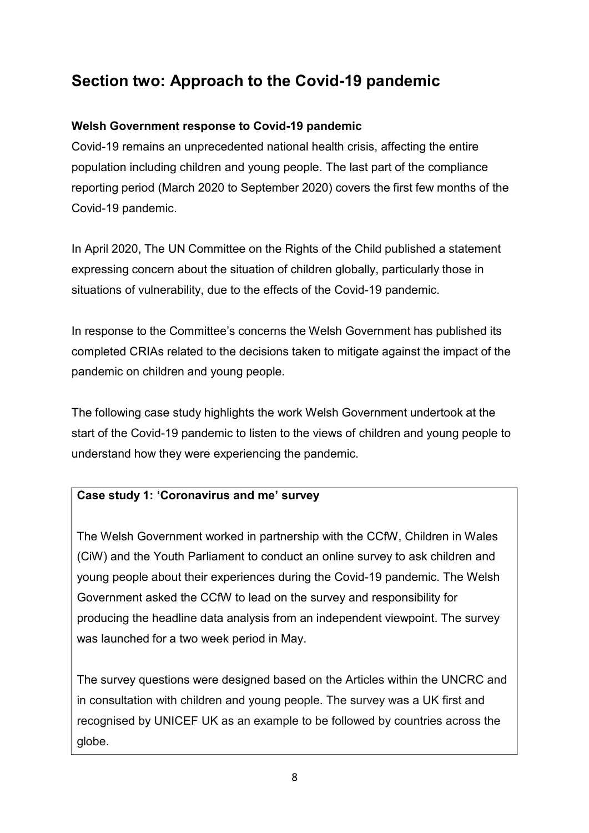### **Section two: Approach to the Covid-19 pandemic**

#### **Welsh Government response to Covid-19 pandemic**

Covid-19 remains an unprecedented national health crisis, affecting the entire population including children and young people. The last part of the compliance reporting period (March 2020 to September 2020) covers the first few months of the Covid-19 pandemic.

In April 2020, The UN Committee on the Rights of the Child published a statement expressing concern about the situation of children globally, particularly those in situations of vulnerability, due to the effects of the Covid-19 pandemic.

In response to the Committee's concerns the Welsh Government has published its completed CRIAs related to the decisions taken to mitigate against the impact of the pandemic on children and young people.

The following case study highlights the work Welsh Government undertook at the start of the Covid-19 pandemic to listen to the views of children and young people to understand how they were experiencing the pandemic.

#### **Case study 1: 'Coronavirus and me' survey**

The Welsh Government worked in partnership with the CCfW, Children in Wales (CiW) and the Youth Parliament to conduct an online survey to ask children and young people about their experiences during the Covid-19 pandemic. The Welsh Government asked the CCfW to lead on the survey and responsibility for producing the headline data analysis from an independent viewpoint. The survey was launched for a two week period in May.

The survey questions were designed based on the Articles within the UNCRC and in consultation with children and young people. The survey was a UK first and recognised by UNICEF UK as an example to be followed by countries across the globe.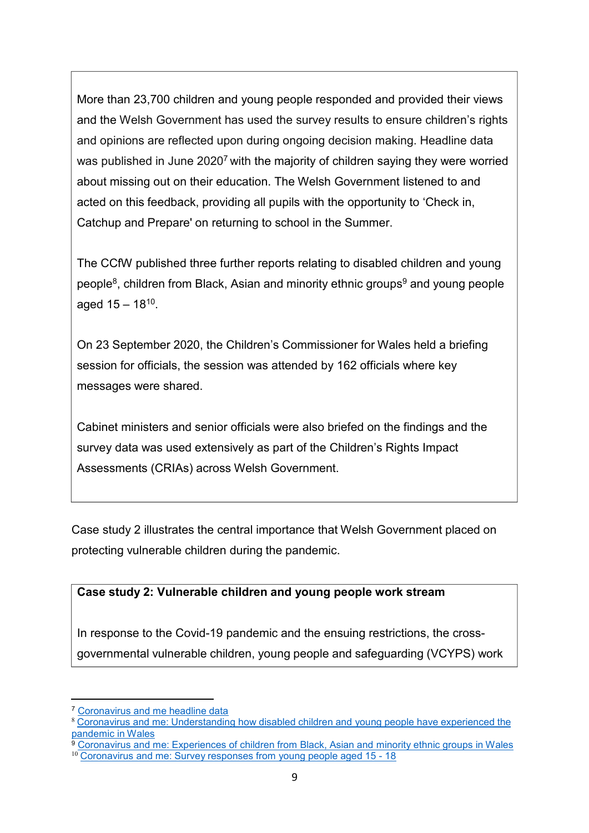More than 23,700 children and young people responded and provided their views and the Welsh Government has used the survey results to ensure children's rights and opinions are reflected upon during ongoing decision making. Headline data was published in June 2020<sup>7</sup> with the majority of children saying they were worried about missing out on their education. The Welsh Government listened to and acted on this feedback, providing all pupils with the opportunity to 'Check in, Catchup and Prepare' on returning to school in the Summer.

The CCfW published three further reports relating to disabled children and young people<sup>8</sup>, children from Black, Asian and minority ethnic groups<sup>9</sup> and young people aged  $15 - 18^{10}$ .

On 23 September 2020, the Children's Commissioner for Wales held a briefing session for officials, the session was attended by 162 officials where key messages were shared.

Cabinet ministers and senior officials were also briefed on the findings and the survey data was used extensively as part of the Children's Rights Impact Assessments (CRIAs) across Welsh Government.

Case study 2 illustrates the central importance that Welsh Government placed on protecting vulnerable children during the pandemic.

#### **Case study 2: Vulnerable children and young people work stream**

In response to the Covid-19 pandemic and the ensuing restrictions, the crossgovernmental vulnerable children, young people and safeguarding (VCYPS) work

<sup>7</sup> [Coronavirus](https://www.childcomwales.org.uk/coronavirus-our-work/coronavirus-and-me-results/) and me headline data

<sup>8</sup> Coronavirus and me: [Understanding how](https://www.childcomwales.org.uk/wp-content/uploads/2020/10/BriefingReport_disability_FINAL_ENG.pdf) disabled children and young people have experienced the [pandemic in](https://www.childcomwales.org.uk/wp-content/uploads/2020/10/BriefingReport_disability_FINAL_ENG.pdf) Wales

<sup>9</sup> [Coronavirus](https://www.childcomwales.org.uk/wp-content/uploads/2020/09/Briefing_Report_E_2020_FINAL.pdf) and me: Experiences of children from Black, Asian and minority ethnic groups in Wales <sup>10</sup> [Coronavirus and](https://www.childcomwales.org.uk/wp-content/uploads/2020/10/Briefing_Report_1518_FINAL_ENG.pdf) me: Survey responses from young people aged 15 - 18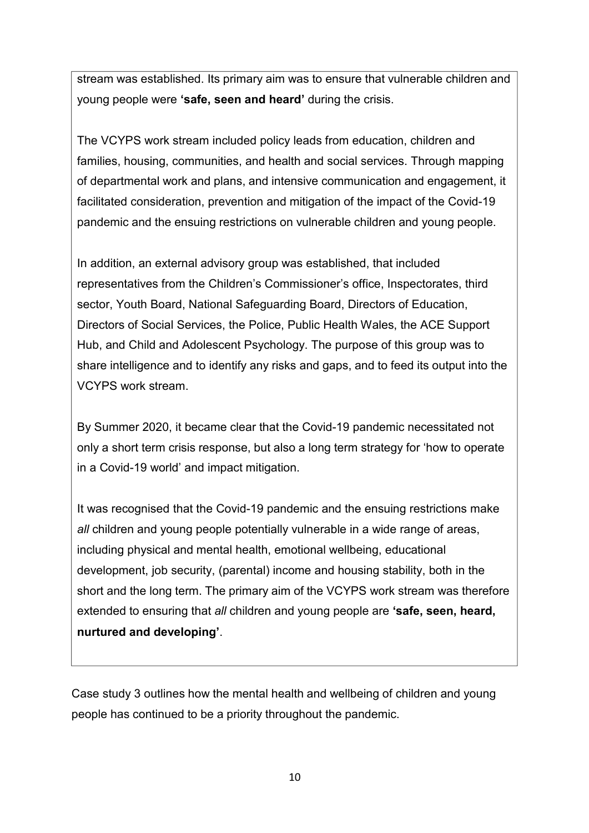stream was established. Its primary aim was to ensure that vulnerable children and young people were **'safe, seen and heard'** during the crisis.

The VCYPS work stream included policy leads from education, children and families, housing, communities, and health and social services. Through mapping of departmental work and plans, and intensive communication and engagement, it facilitated consideration, prevention and mitigation of the impact of the Covid-19 pandemic and the ensuing restrictions on vulnerable children and young people.

In addition, an external advisory group was established, that included representatives from the Children's Commissioner's office, Inspectorates, third sector, Youth Board, National Safeguarding Board, Directors of Education, Directors of Social Services, the Police, Public Health Wales, the ACE Support Hub, and Child and Adolescent Psychology. The purpose of this group was to share intelligence and to identify any risks and gaps, and to feed its output into the VCYPS work stream.

By Summer 2020, it became clear that the Covid-19 pandemic necessitated not only a short term crisis response, but also a long term strategy for 'how to operate in a Covid-19 world' and impact mitigation.

It was recognised that the Covid-19 pandemic and the ensuing restrictions make *all* children and young people potentially vulnerable in a wide range of areas, including physical and mental health, emotional wellbeing, educational development, job security, (parental) income and housing stability, both in the short and the long term. The primary aim of the VCYPS work stream was therefore extended to ensuring that *all* children and young people are **'safe, seen, heard, nurtured and developing'**.

Case study 3 outlines how the mental health and wellbeing of children and young people has continued to be a priority throughout the pandemic.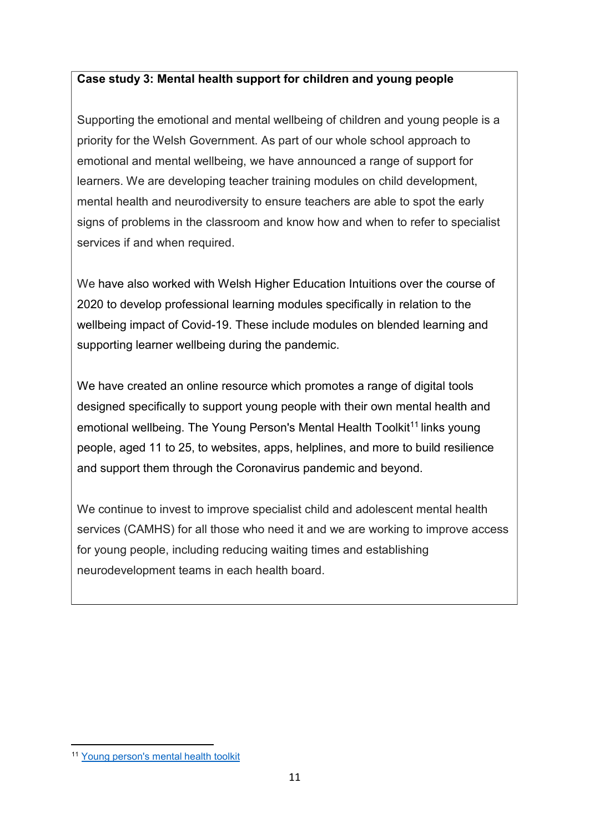#### **Case study 3: Mental health support for children and young people**

Supporting the emotional and mental wellbeing of children and young people is a priority for the Welsh Government. As part of our whole school approach to emotional and mental wellbeing, we have announced a range of support for learners. We are developing teacher training modules on child development, mental health and neurodiversity to ensure teachers are able to spot the early signs of problems in the classroom and know how and when to refer to specialist services if and when required.

We have also worked with Welsh Higher Education Intuitions over the course of 2020 to develop professional learning modules specifically in relation to the wellbeing impact of Covid-19. These include modules on blended learning and supporting learner wellbeing during the pandemic.

We have created an online resource which promotes a range of digital tools designed specifically to support young people with their own mental health and emotional wellbeing. The Young Person's Mental Health Toolkit<sup>11</sup> links young people, aged 11 to 25, to websites, apps, helplines, and more to build resilience and support them through the Coronavirus pandemic and beyond.

We continue to invest to improve specialist child and adolescent mental health services (CAMHS) for all those who need it and we are working to improve access for young people, including reducing waiting times and establishing neurodevelopment teams in each health board.

<sup>11</sup> Young [person's](https://hwb.gov.wales/repository/discovery/resource/e53adf44-76cb-4635-b6c2-62116bb63a9a/en?_ga=2.121771979.1739172551.1610365057-1780325917.1569858130&sort=recent&strict=1) mental health toolkit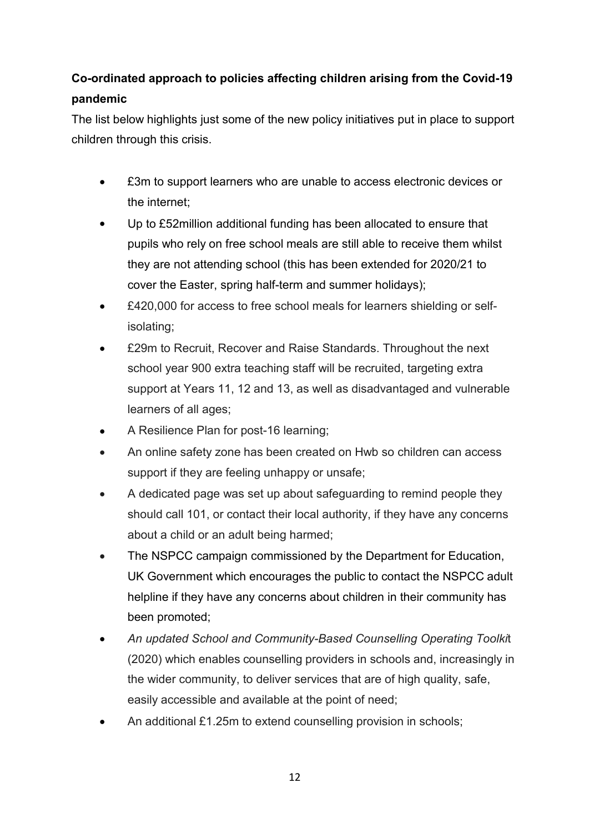### **Co-ordinated approach to policies affecting children arising from the Covid-19 pandemic**

The list below highlights just some of the new policy initiatives put in place to support children through this crisis.

- £3m to support learners who are unable to access electronic devices or the internet;
- Up to £52million additional funding has been allocated to ensure that pupils who rely on free school meals are still able to receive them whilst they are not attending school (this has been extended for 2020/21 to cover the Easter, spring half-term and summer holidays); •
- £420,000 for access to free school meals for learners shielding or selfisolating; •
- £29m to Recruit, Recover and Raise Standards. Throughout the next school year 900 extra teaching staff will be recruited, targeting extra support at Years 11, 12 and 13, as well as disadvantaged and vulnerable learners of all ages; •
- A Resilience Plan for post-16 learning; •
- An online safety zone has been created on Hwb so children can access support if they are feeling unhappy or unsafe; •
- A dedicated page was set up about safeguarding to remind people they should call 101, or contact their local authority, if they have any concerns about a child or an adult being harmed; •
- The NSPCC campaign commissioned by the Department for Education, UK Government which encourages the public to contact the NSPCC adult helpline if they have any concerns about children in their community has been promoted; •
- *An updated School and Community-Based Counselling Operating Toolki*t (2020) which enables counselling providers in schools and, increasingly in the wider community, to deliver services that are of high quality, safe, easily accessible and available at the point of need; •
- An additional £1.25m to extend counselling provision in schools; •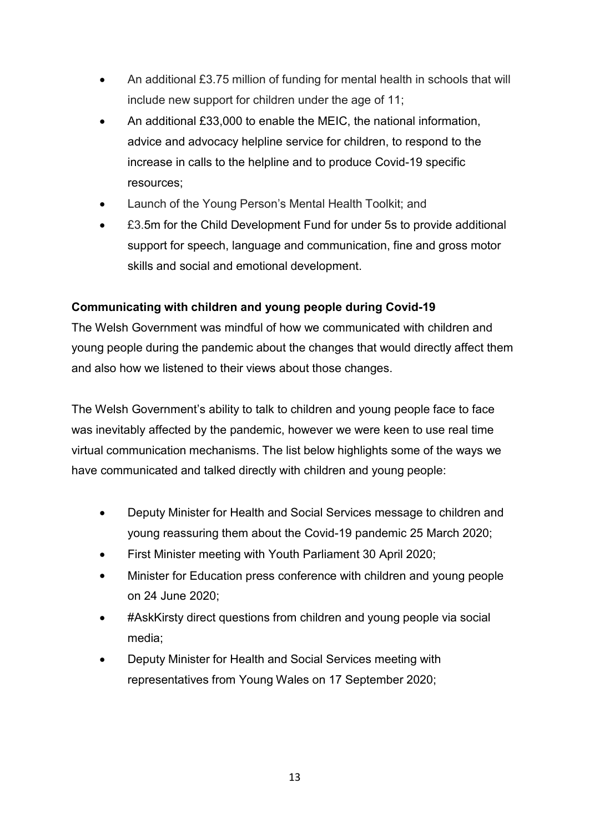- An additional £3.75 million of funding for mental health in schools that will include new support for children under the age of 11;
- An additional £33,000 to enable the MEIC, the national information, advice and advocacy helpline service for children, to respond to the increase in calls to the helpline and to produce Covid-19 specific resources; •
- Launch of the Young Person's Mental Health Toolkit; and •
- £3.5m for the Child Development Fund for under 5s to provide additional support for speech, language and communication, fine and gross motor skills and social and emotional development. •

#### **Communicating with children and young people during Covid-19**

The Welsh Government was mindful of how we communicated with children and young people during the pandemic about the changes that would directly affect them and also how we listened to their views about those changes.

The Welsh Government's ability to talk to children and young people face to face was inevitably affected by the pandemic, however we were keen to use real time virtual communication mechanisms. The list below highlights some of the ways we have communicated and talked directly with children and young people:

- Deputy Minister for Health and Social Services message to children and young reassuring them about the Covid-19 pandemic 25 March 2020;
- First Minister meeting with Youth Parliament 30 April 2020; •
- Minister for Education press conference with children and young people on 24 June 2020; •
- #AskKirsty direct questions from children and young people via social media; •
- Deputy Minister for Health and Social Services meeting with representatives from Young Wales on 17 September 2020; •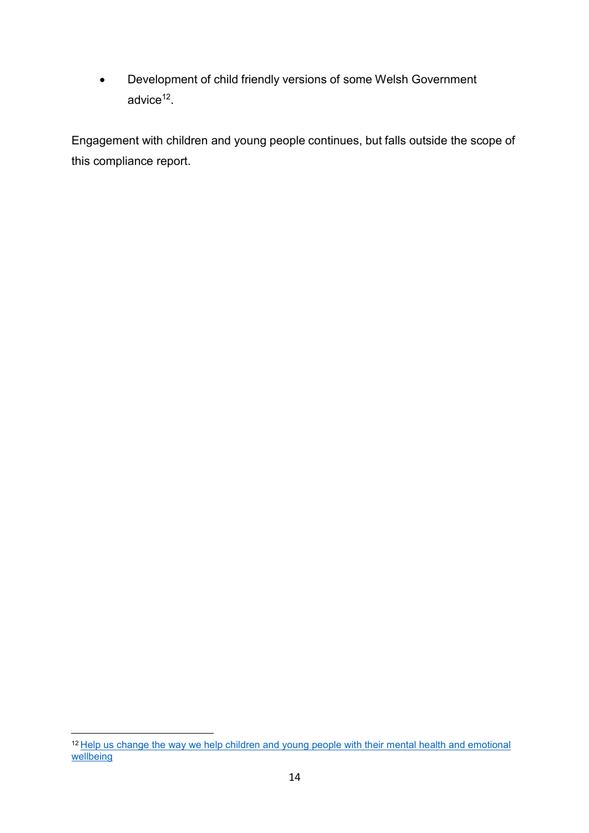• Development of child friendly versions of some Welsh Government advice<sup>12</sup>.

Engagement with children and young people continues, but falls outside the scope of this compliance report.

<sup>&</sup>lt;sup>12</sup> Help us change the way we help children and young people with their mental health and emotional [wellbeing](https://gov.wales/sites/default/files/consultations/2020-08/young-persons-consultation-whole-school-approach.pdf)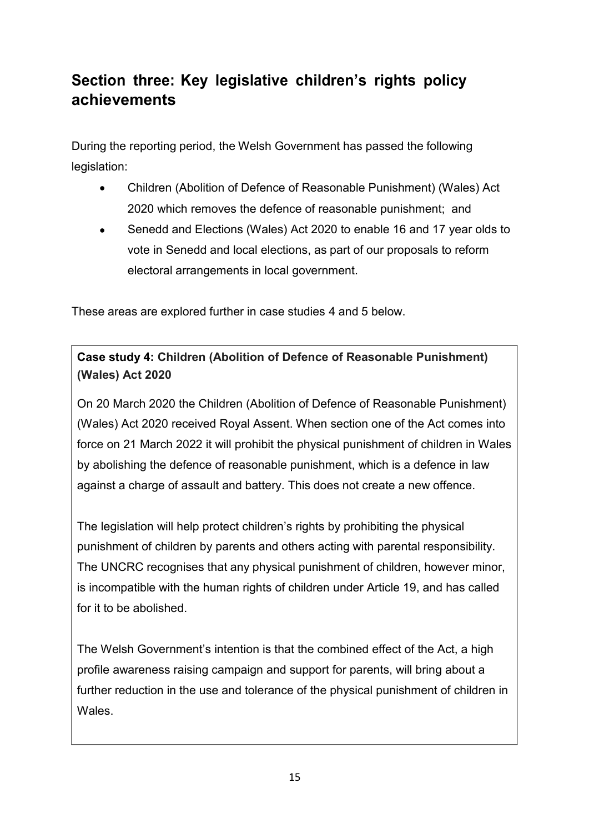### **Section three: Key legislative children's rights policy achievements**

During the reporting period, the Welsh Government has passed the following legislation:

- Children (Abolition of Defence of Reasonable Punishment) (Wales) Act 2020 which removes the defence of reasonable punishment; and
- Senedd and Elections (Wales) Act 2020 to enable 16 and 17 year olds to vote in Senedd and local elections, as part of our proposals to reform electoral arrangements in local government. •

These areas are explored further in case studies 4 and 5 below.

**Case study 4: Children (Abolition of Defence of Reasonable Punishment) (Wales) Act 2020**

On 20 March 2020 the Children (Abolition of Defence of Reasonable Punishment) (Wales) Act 2020 received Royal Assent. When section one of the Act comes into force on 21 March 2022 it will prohibit the physical punishment of children in Wales by abolishing the defence of reasonable punishment, which is a defence in law against a charge of assault and battery. This does not create a new offence.

The legislation will help protect children's rights by prohibiting the physical punishment of children by parents and others acting with parental responsibility. The UNCRC recognises that any physical punishment of children, however minor, is incompatible with the human rights of children under Article 19, and has called for it to be abolished.

The Welsh Government's intention is that the combined effect of the Act, a high profile awareness raising campaign and support for parents, will bring about a further reduction in the use and tolerance of the physical punishment of children in Wales.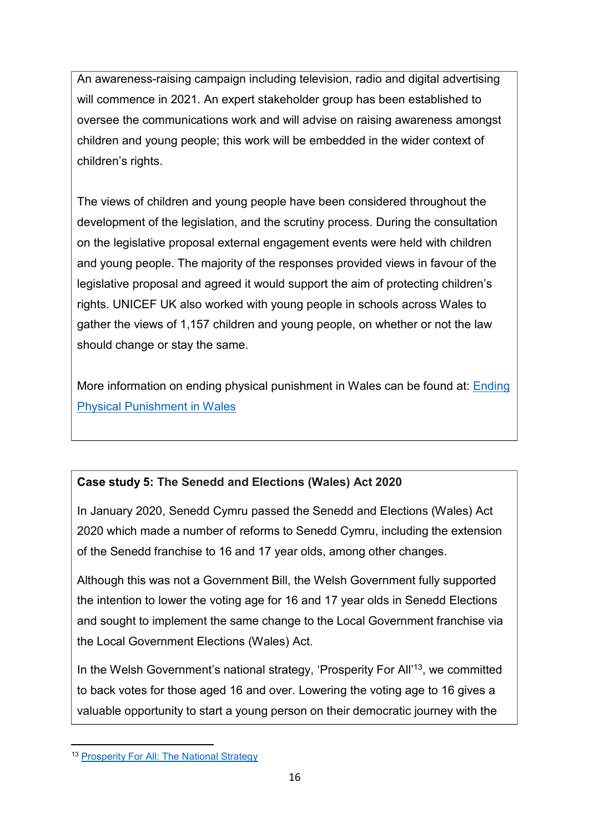An awareness-raising campaign including television, radio and digital advertising will commence in 2021. An expert stakeholder group has been established to oversee the communications work and will advise on raising awareness amongst children and young people; this work will be embedded in the wider context of children's rights.

The views of children and young people have been considered throughout the development of the legislation, and the scrutiny process. During the consultation on the legislative proposal external engagement events were held with children and young people. The majority of the responses provided views in favour of the legislative proposal and agreed it would support the aim of protecting children's rights. UNICEF UK also worked with young people in schools across Wales to gather the views of 1,157 children and young people, on whether or not the law should change or stay the same.

More information on ending physical punishment in Wales can be found at: [Ending](https://gov.wales/ending-physical-punishment-wales-overview) [Physical Punishment in](https://gov.wales/ending-physical-punishment-wales-overview) Wales

#### **Case study 5: The Senedd and Elections (Wales) Act 2020**

In January 2020, Senedd Cymru passed the Senedd and Elections (Wales) Act 2020 which made a number of reforms to Senedd Cymru, including the extension of the Senedd franchise to 16 and 17 year olds, among other changes.

Although this was not a Government Bill, the Welsh Government fully supported the intention to lower the voting age for 16 and 17 year olds in Senedd Elections and sought to implement the same change to the Local Government franchise via the Local Government Elections (Wales) Act.

In the Welsh Government's national strategy, 'Prosperity For All'<sup>13</sup>, we committed to back votes for those aged 16 and over. Lowering the voting age to 16 gives a valuable opportunity to start a young person on their democratic journey with the

<sup>13</sup> [Prosperity](https://gov.wales/sites/default/files/publications/2017-10/prosperity-for-all-the-national-strategy.pdf) For All: The National Strategy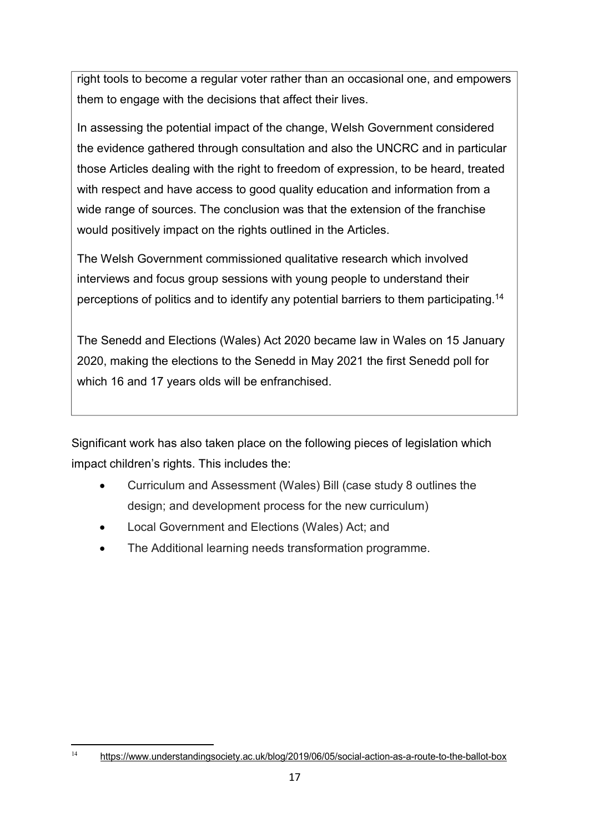right tools to become a regular voter rather than an occasional one, and empowers them to engage with the decisions that affect their lives.

In assessing the potential impact of the change, Welsh Government considered the evidence gathered through consultation and also the UNCRC and in particular those Articles dealing with the right to freedom of expression, to be heard, treated with respect and have access to good quality education and information from a wide range of sources. The conclusion was that the extension of the franchise would positively impact on the rights outlined in the Articles.

The Welsh Government commissioned qualitative research which involved interviews and focus group sessions with young people to understand their perceptions of politics and to identify any potential barriers to them participating.14

The Senedd and Elections (Wales) Act 2020 became law in Wales on 15 January 2020, making the elections to the Senedd in May 2021 the first Senedd poll for which 16 and 17 years olds will be enfranchised.

Significant work has also taken place on the following pieces of legislation which impact children's rights. This includes the:

- Curriculum and Assessment (Wales) Bill (case study 8 outlines the design; and development process for the new curriculum)
- Local Government and Elections (Wales) Act; and •
- The Additional learning needs transformation programme. •

<sup>14</sup> <https://www.understandingsociety.ac.uk/blog/2019/06/05/social-action-as-a-route-to-the-ballot-box>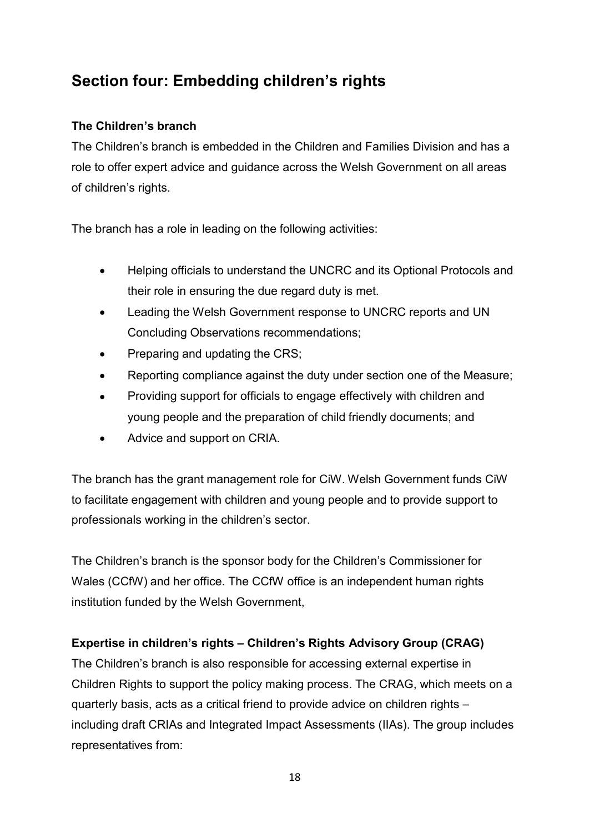### **Section four: Embedding children's rights**

#### **The Children's branch**

The Children's branch is embedded in the Children and Families Division and has a role to offer expert advice and guidance across the Welsh Government on all areas of children's rights.

The branch has a role in leading on the following activities:

- Helping officials to understand the UNCRC and its Optional Protocols and their role in ensuring the due regard duty is met.
- Leading the Welsh Government response to UNCRC reports and UN Concluding Observations recommendations; •
- Preparing and updating the CRS; •
- Reporting compliance against the duty under section one of the Measure; •
- Providing support for officials to engage effectively with children and young people and the preparation of child friendly documents; and •
- Advice and support on CRIA. •

The branch has the grant management role for CiW. Welsh Government funds CiW to facilitate engagement with children and young people and to provide support to professionals working in the children's sector.

The Children's branch is the sponsor body for the Children's Commissioner for Wales (CCfW) and her office. The CCfW office is an independent human rights institution funded by the Welsh Government,

#### **Expertise in children's rights – Children's Rights Advisory Group (CRAG)**

The Children's branch is also responsible for accessing external expertise in Children Rights to support the policy making process. The CRAG, which meets on a quarterly basis, acts as a critical friend to provide advice on children rights – including draft CRIAs and Integrated Impact Assessments (IIAs). The group includes representatives from: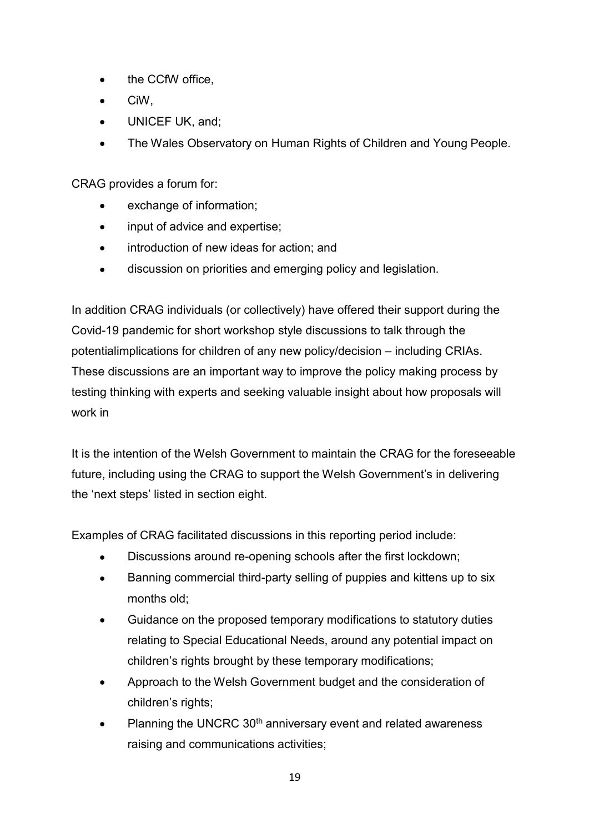- the CCfW office,
- CiW,
- UNICEF UK, and;
- The Wales Observatory on Human Rights of Children and Young People.

CRAG provides a forum for:

- exchange of information;
- input of advice and expertise;
- introduction of new ideas for action; and
- discussion on priorities and emerging policy and legislation.

In addition CRAG individuals (or collectively) have offered their support during the Covid-19 pandemic for short workshop style discussions to talk through the potentialimplications for children of any new policy/decision – including CRIAs. These discussions are an important way to improve the policy making process by testing thinking with experts and seeking valuable insight about how proposals will work in

It is the intention of the Welsh Government to maintain the CRAG for the foreseeable future, including using the CRAG to support the Welsh Government's in delivering the 'next steps' listed in section eight.

Examples of CRAG facilitated discussions in this reporting period include:

- Discussions around re-opening schools after the first lockdown;
- Banning commercial third-party selling of puppies and kittens up to six months old;
- Guidance on the proposed temporary modifications to statutory duties relating to Special Educational Needs, around any potential impact on children's rights brought by these temporary modifications; •
- Approach to the Welsh Government budget and the consideration of children's rights; •
- Planning the UNCRC 30<sup>th</sup> anniversary event and related awareness raising and communications activities; •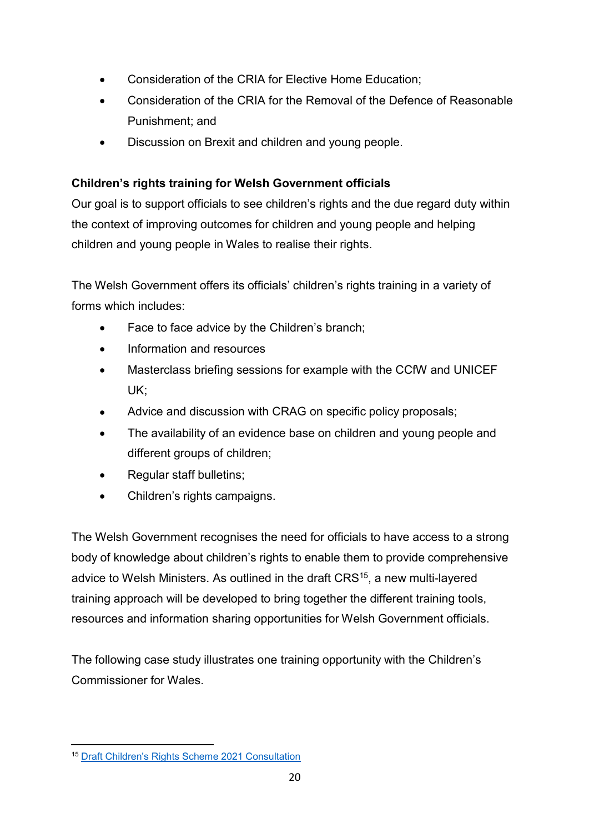- Consideration of the CRIA for Elective Home Education;
- Consideration of the CRIA for the Removal of the Defence of Reasonable Punishment; and
- Discussion on Brexit and children and young people.

#### **Children's rights training for Welsh Government officials**

Our goal is to support officials to see children's rights and the due regard duty within the context of improving outcomes for children and young people and helping children and young people in Wales to realise their rights.

The Welsh Government offers its officials' children's rights training in a variety of forms which includes:

- Face to face advice by the Children's branch;
- Information and resources
- Masterclass briefing sessions for example with the CCfW and UNICEF UK;
- Advice and discussion with CRAG on specific policy proposals; •
- The availability of an evidence base on children and young people and different groups of children; •
- Regular staff bulletins; •
- Children's rights campaigns. •

The Welsh Government recognises the need for officials to have access to a strong body of knowledge about children's rights to enable them to provide comprehensive advice to Welsh Ministers. As outlined in the draft CRS<sup>15</sup>, a new multi-layered training approach will be developed to bring together the different training tools, resources and information sharing opportunities for Welsh Government officials.

The following case study illustrates one training opportunity with the Children's Commissioner for Wales.

<sup>15</sup> Draft Children's Rights Scheme 2021 [Consultation](https://gov.wales/draft-childrens-rights-scheme-2021)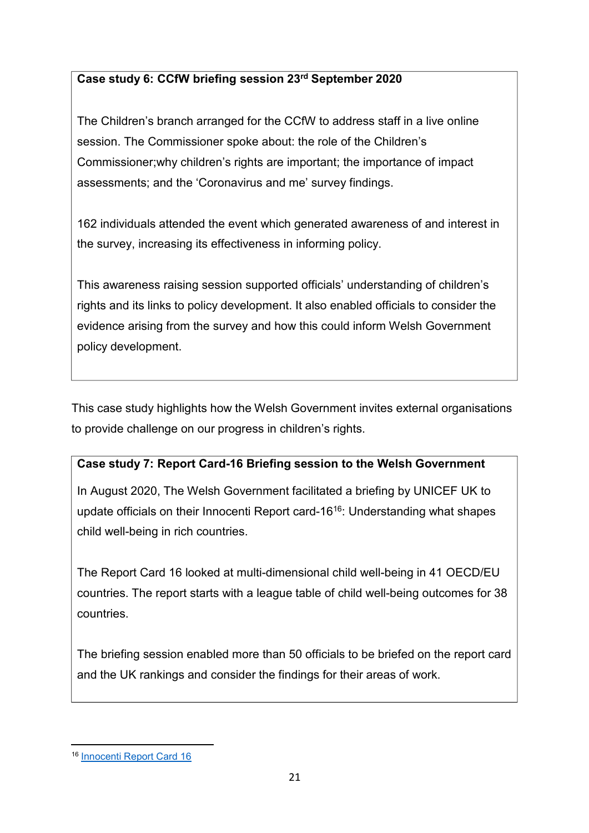#### **Case study 6: CCfW briefing session 23rd September 2020**

The Children's branch arranged for the CCfW to address staff in a live online session. The Commissioner spoke about: the role of the Children's Commissioner;why children's rights are important; the importance of impact assessments; and the 'Coronavirus and me' survey findings.

162 individuals attended the event which generated awareness of and interest in the survey, increasing its effectiveness in informing policy.

This awareness raising session supported officials' understanding of children's rights and its links to policy development. It also enabled officials to consider the evidence arising from the survey and how this could inform Welsh Government policy development.

This case study highlights how the Welsh Government invites external organisations to provide challenge on our progress in children's rights.

#### **Case study 7: Report Card-16 Briefing session to the Welsh Government**

In August 2020, The Welsh Government facilitated a briefing by UNICEF UK to update officials on their Innocenti Report card-1616: Understanding what shapes child well-being in rich countries.

The Report Card 16 looked at multi-dimensional child well-being in 41 OECD/EU countries. The report starts with a league table of child well-being outcomes for 38 countries.

The briefing session enabled more than 50 officials to be briefed on the report card and the UK rankings and consider the findings for their areas of work.

<sup>16</sup> [Innocenti](https://www.unicef-irc.org/publications/pdf/Report-Card-16-Worlds-of-Influence-child-wellbeing.pdf) Report Card 16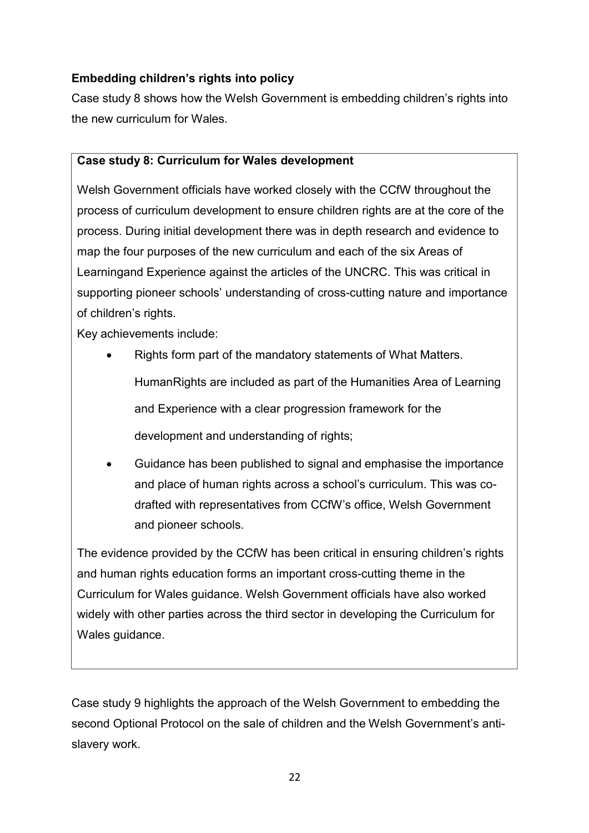#### **Embedding children's rights into policy**

Case study 8 shows how the Welsh Government is embedding children's rights into the new curriculum for Wales.

#### **Case study 8: Curriculum for Wales development**

Welsh Government officials have worked closely with the CCfW throughout the process of curriculum development to ensure children rights are at the core of the process. During initial development there was in depth research and evidence to map the four purposes of the new curriculum and each of the six Areas of Learningand Experience against the articles of the UNCRC. This was critical in supporting pioneer schools' understanding of cross-cutting nature and importance of children's rights.

Key achievements include:

- Rights form part of the mandatory statements of What Matters. HumanRights are included as part of the Humanities Area of Learning and Experience with a clear progression framework for the development and understanding of rights;
- Guidance has been published to signal and emphasise the importance and place of human rights across a school's curriculum. This was codrafted with representatives from CCfW's office, Welsh Government and pioneer schools.

The evidence provided by the CCfW has been critical in ensuring children's rights and human rights education forms an important cross-cutting theme in the Curriculum for Wales guidance. Welsh Government officials have also worked widely with other parties across the third sector in developing the Curriculum for Wales guidance.

Case study 9 highlights the approach of the Welsh Government to embedding the second Optional Protocol on the sale of children and the Welsh Government's antislavery work.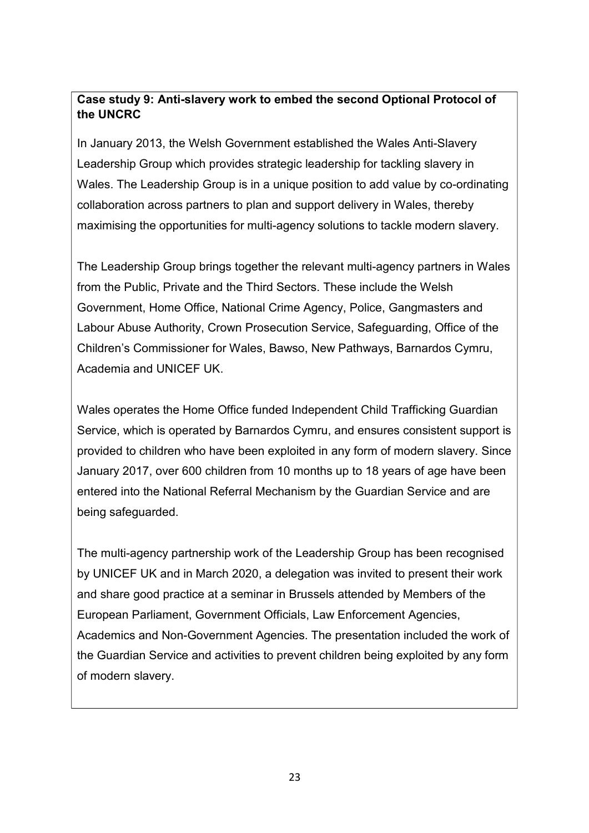#### **Case study 9: Anti-slavery work to embed the second Optional Protocol of the UNCRC**

In January 2013, the Welsh Government established the Wales Anti-Slavery Leadership Group which provides strategic leadership for tackling slavery in Wales. The Leadership Group is in a unique position to add value by co-ordinating collaboration across partners to plan and support delivery in Wales, thereby maximising the opportunities for multi-agency solutions to tackle modern slavery.

The Leadership Group brings together the relevant multi-agency partners in Wales from the Public, Private and the Third Sectors. These include the Welsh Government, Home Office, National Crime Agency, Police, Gangmasters and Labour Abuse Authority, Crown Prosecution Service, Safeguarding, Office of the Children's Commissioner for Wales, Bawso, New Pathways, Barnardos Cymru, Academia and UNICEF UK.

Wales operates the Home Office funded Independent Child Trafficking Guardian Service, which is operated by Barnardos Cymru, and ensures consistent support is provided to children who have been exploited in any form of modern slavery. Since January 2017, over 600 children from 10 months up to 18 years of age have been entered into the National Referral Mechanism by the Guardian Service and are being safeguarded.

The multi-agency partnership work of the Leadership Group has been recognised by UNICEF UK and in March 2020, a delegation was invited to present their work and share good practice at a seminar in Brussels attended by Members of the European Parliament, Government Officials, Law Enforcement Agencies, Academics and Non-Government Agencies. The presentation included the work of the Guardian Service and activities to prevent children being exploited by any form of modern slavery.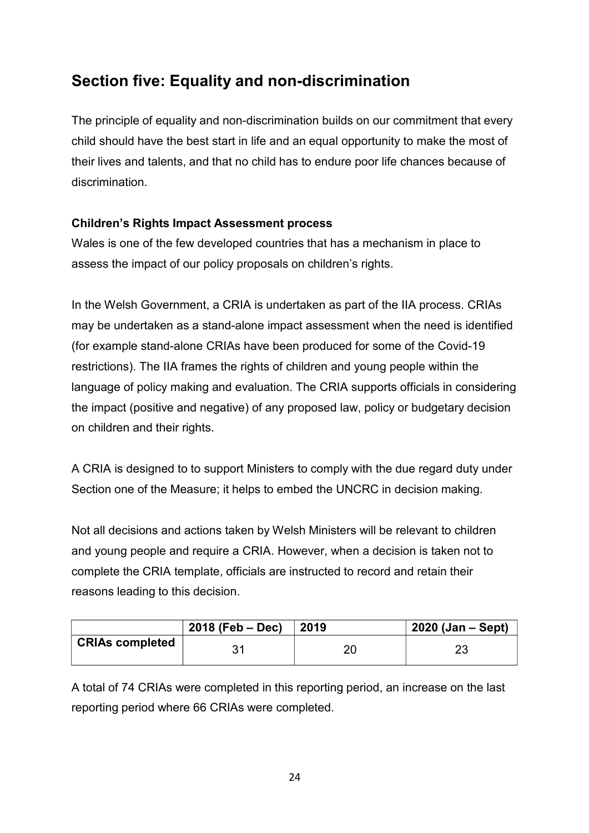### **Section five: Equality and non-discrimination**

The principle of equality and non-discrimination builds on our commitment that every child should have the best start in life and an equal opportunity to make the most of their lives and talents, and that no child has to endure poor life chances because of discrimination.

#### **Children's Rights Impact Assessment process**

Wales is one of the few developed countries that has a mechanism in place to assess the impact of our policy proposals on children's rights.

In the Welsh Government, a CRIA is undertaken as part of the IIA process. CRIAs may be undertaken as a stand-alone impact assessment when the need is identified (for example stand-alone CRIAs have been produced for some of the Covid-19 restrictions). The IIA frames the rights of children and young people within the language of policy making and evaluation. The CRIA supports officials in considering the impact (positive and negative) of any proposed law, policy or budgetary decision on children and their rights.

A CRIA is designed to to support Ministers to comply with the due regard duty under Section one of the Measure; it helps to embed the UNCRC in decision making.

Not all decisions and actions taken by Welsh Ministers will be relevant to children and young people and require a CRIA. However, when a decision is taken not to complete the CRIA template, officials are instructed to record and retain their reasons leading to this decision.

|                        | 2018 (Feb – Dec) | $\vert$ 2019 | $2020$ (Jan – Sept) |
|------------------------|------------------|--------------|---------------------|
| <b>CRIAs completed</b> |                  | or           | つつ<br>∠∪            |

A total of 74 CRIAs were completed in this reporting period, an increase on the last reporting period where 66 CRIAs were completed.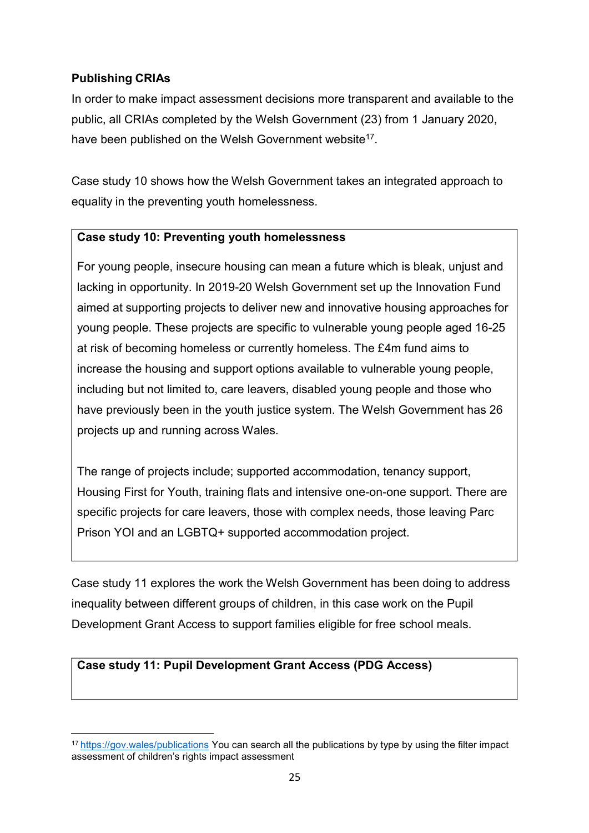#### **Publishing CRIAs**

In order to make impact assessment decisions more transparent and available to the public, all CRIAs completed by the Welsh Government (23) from 1 January 2020, have been published on the Welsh Government website<sup>17</sup>.

Case study 10 shows how the Welsh Government takes an integrated approach to equality in the preventing youth homelessness.

#### **Case study 10: Preventing youth homelessness**

For young people, insecure housing can mean a future which is bleak, unjust and lacking in opportunity. In 2019-20 Welsh Government set up the Innovation Fund aimed at supporting projects to deliver new and innovative housing approaches for young people. These projects are specific to vulnerable young people aged 16-25 at risk of becoming homeless or currently homeless. The £4m fund aims to increase the housing and support options available to vulnerable young people, including but not limited to, care leavers, disabled young people and those who have previously been in the youth justice system. The Welsh Government has 26 projects up and running across Wales.

The range of projects include; supported accommodation, tenancy support, Housing First for Youth, training flats and intensive one-on-one support. There are specific projects for care leavers, those with complex needs, those leaving Parc Prison YOI and an LGBTQ+ supported accommodation project.

Case study 11 explores the work the Welsh Government has been doing to address inequality between different groups of children, in this case work on the Pupil Development Grant Access to support families eligible for free school meals.

#### **Case study 11: Pupil Development Grant Access (PDG Access)**

<sup>1</sup>[7 https://gov.wales/publications](https://gov.wales/publications) You can search all the publications by type by using the filter impact assessment of children's rights impact assessment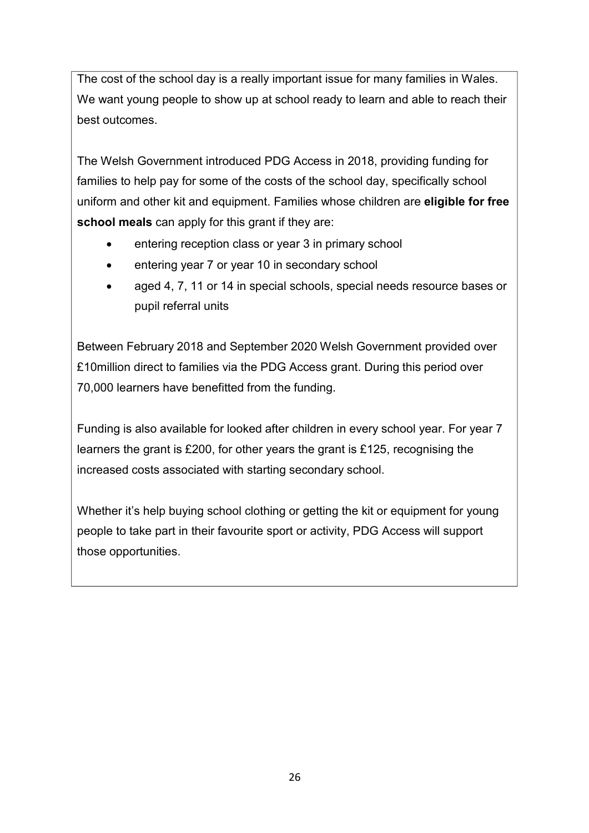The cost of the school day is a really important issue for many families in Wales. We want young people to show up at school ready to learn and able to reach their best outcomes.

The Welsh Government introduced PDG Access in 2018, providing funding for families to help pay for some of the costs of the school day, specifically school uniform and other kit and equipment. Families whose children are **eligible for free school meals** can apply for this grant if they are:

- entering reception class or year 3 in primary school
- entering year 7 or year 10 in secondary school
- aged 4, 7, 11 or 14 in special schools, special needs resource bases or pupil referral units

Between February 2018 and September 2020 Welsh Government provided over £10million direct to families via the PDG Access grant. During this period over 70,000 learners have benefitted from the funding.

Funding is also available for looked after children in every school year. For year 7 learners the grant is £200, for other years the grant is £125, recognising the increased costs associated with starting secondary school.

Whether it's help buying school clothing or getting the kit or equipment for young people to take part in their favourite sport or activity, PDG Access will support those opportunities.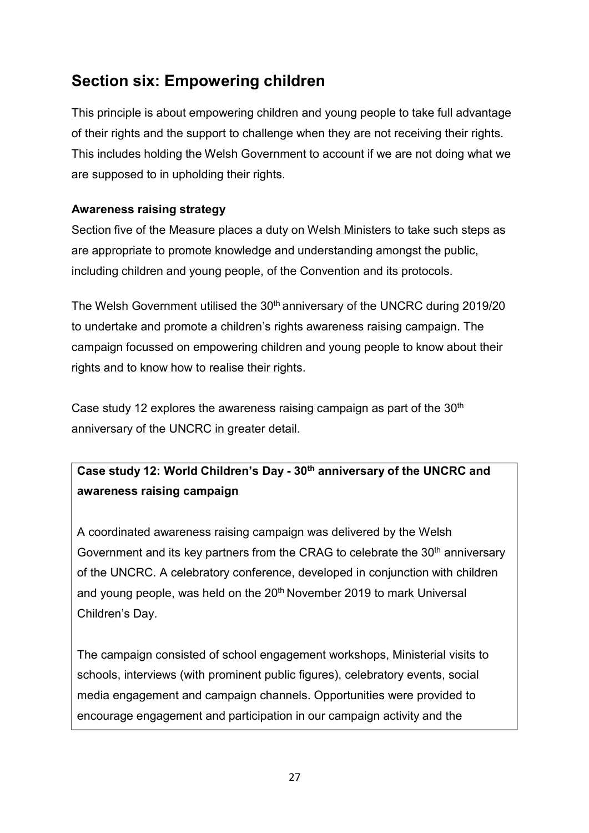### **Section six: Empowering children**

This principle is about empowering children and young people to take full advantage of their rights and the support to challenge when they are not receiving their rights. This includes holding the Welsh Government to account if we are not doing what we are supposed to in upholding their rights.

#### **Awareness raising strategy**

Section five of the Measure places a duty on Welsh Ministers to take such steps as are appropriate to promote knowledge and understanding amongst the public, including children and young people, of the Convention and its protocols.

The Welsh Government utilised the 30<sup>th</sup> anniversary of the UNCRC during 2019/20 to undertake and promote a children's rights awareness raising campaign. The campaign focussed on empowering children and young people to know about their rights and to know how to realise their rights.

Case study 12 explores the awareness raising campaign as part of the  $30<sup>th</sup>$ anniversary of the UNCRC in greater detail.

### **Case study 12: World Children's Day - 30th anniversary of the UNCRC and awareness raising campaign**

A coordinated awareness raising campaign was delivered by the Welsh Government and its key partners from the CRAG to celebrate the  $30<sup>th</sup>$  anniversary of the UNCRC. A celebratory conference, developed in conjunction with children and young people, was held on the 20<sup>th</sup> November 2019 to mark Universal Children's Day.

The campaign consisted of school engagement workshops, Ministerial visits to schools, interviews (with prominent public figures), celebratory events, social media engagement and campaign channels. Opportunities were provided to encourage engagement and participation in our campaign activity and the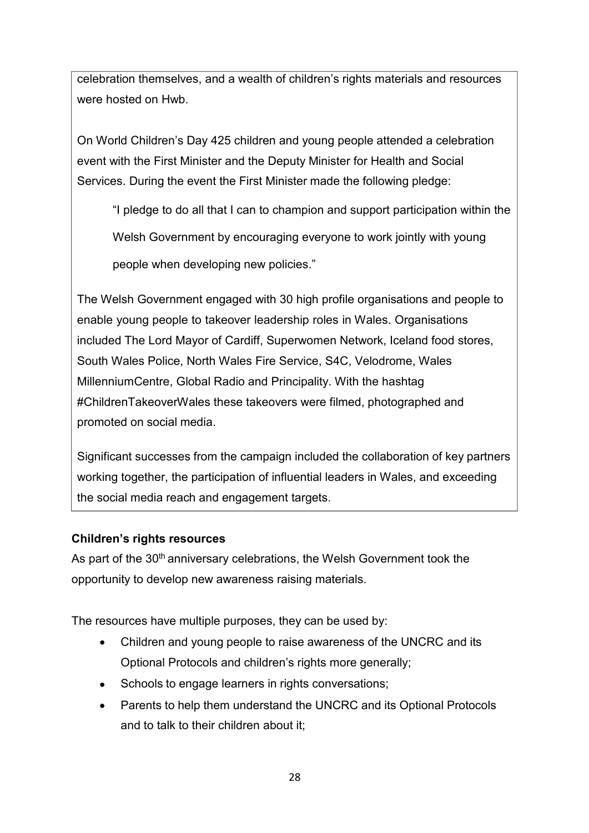celebration themselves, and a wealth of children's rights materials and resources were hosted on Hwb.

On World Children's Day 425 children and young people attended a celebration event with the First Minister and the Deputy Minister for Health and Social Services. During the event the First Minister made the following pledge:

"I pledge to do all that I can to champion and support participation within the

Welsh Government by encouraging everyone to work jointly with young

people when developing new policies."

The Welsh Government engaged with 30 high profile organisations and people to enable young people to takeover leadership roles in Wales. Organisations included The Lord Mayor of Cardiff, Superwomen Network, Iceland food stores, South Wales Police, North Wales Fire Service, S4C, Velodrome, Wales MillenniumCentre, Global Radio and Principality. With the hashtag #ChildrenTakeoverWales these takeovers were filmed, photographed and promoted on social media.

Significant successes from the campaign included the collaboration of key partners working together, the participation of influential leaders in Wales, and exceeding the social media reach and engagement targets.

#### **Children's rights resources**

As part of the 30<sup>th</sup> anniversary celebrations, the Welsh Government took the opportunity to develop new awareness raising materials.

The resources have multiple purposes, they can be used by:

- Children and young people to raise awareness of the UNCRC and its Optional Protocols and children's rights more generally;
- Schools to engage learners in rights conversations; •
- Parents to help them understand the UNCRC and its Optional Protocols and to talk to their children about it; •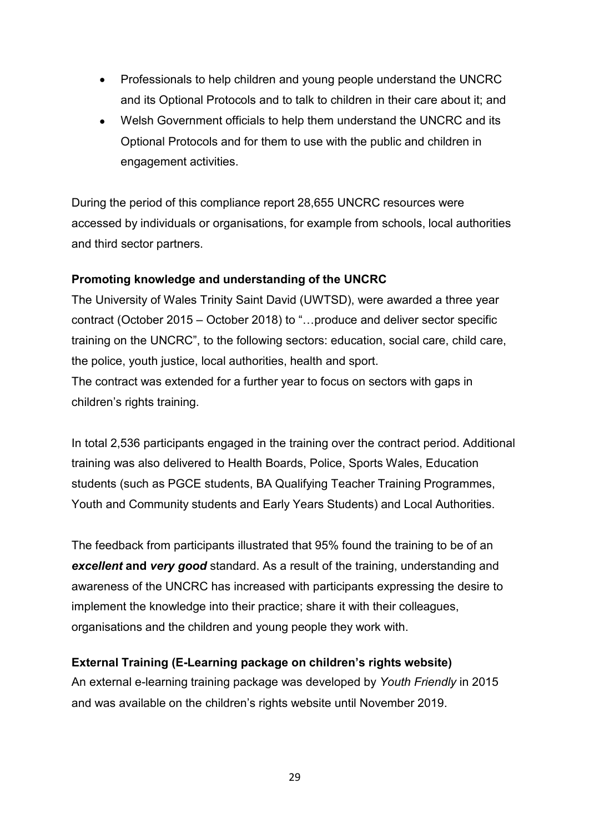- Professionals to help children and young people understand the UNCRC and its Optional Protocols and to talk to children in their care about it; and
- Welsh Government officials to help them understand the UNCRC and its Optional Protocols and for them to use with the public and children in engagement activities. •

During the period of this compliance report 28,655 UNCRC resources were accessed by individuals or organisations, for example from schools, local authorities and third sector partners.

#### **Promoting knowledge and understanding of the UNCRC**

The University of Wales Trinity Saint David (UWTSD), were awarded a three year contract (October 2015 – October 2018) to "…produce and deliver sector specific training on the UNCRC", to the following sectors: education, social care, child care, the police, youth justice, local authorities, health and sport. The contract was extended for a further year to focus on sectors with gaps in children's rights training.

In total 2,536 participants engaged in the training over the contract period. Additional training was also delivered to Health Boards, Police, Sports Wales, Education students (such as PGCE students, BA Qualifying Teacher Training Programmes, Youth and Community students and Early Years Students) and Local Authorities.

The feedback from participants illustrated that 95% found the training to be of an *excellent* **and** *very good* standard. As a result of the training, understanding and awareness of the UNCRC has increased with participants expressing the desire to implement the knowledge into their practice; share it with their colleagues, organisations and the children and young people they work with.

#### **External Training (E-Learning package on children's rights website)**

An external e-learning training package was developed by *Youth Friendly* in 2015 and was available on the children's rights website until November 2019.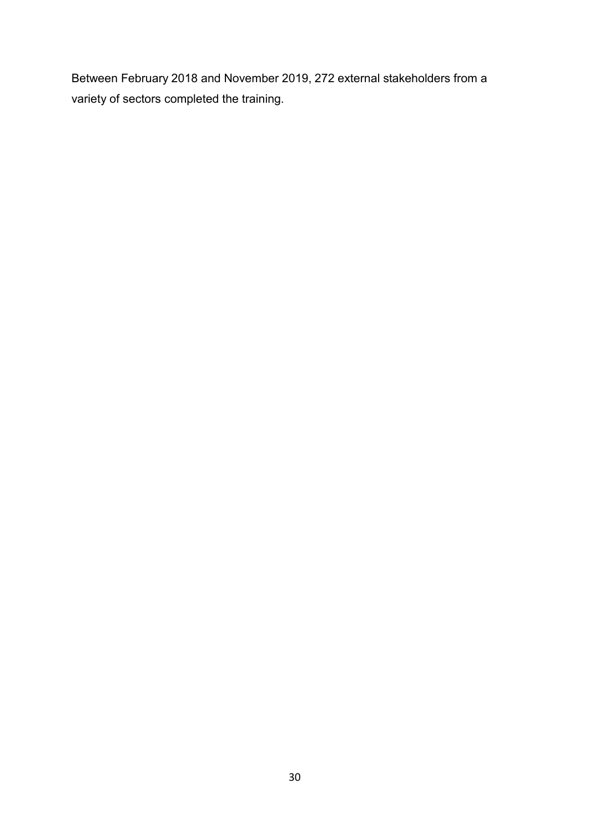Between February 2018 and November 2019, 272 external stakeholders from a variety of sectors completed the training.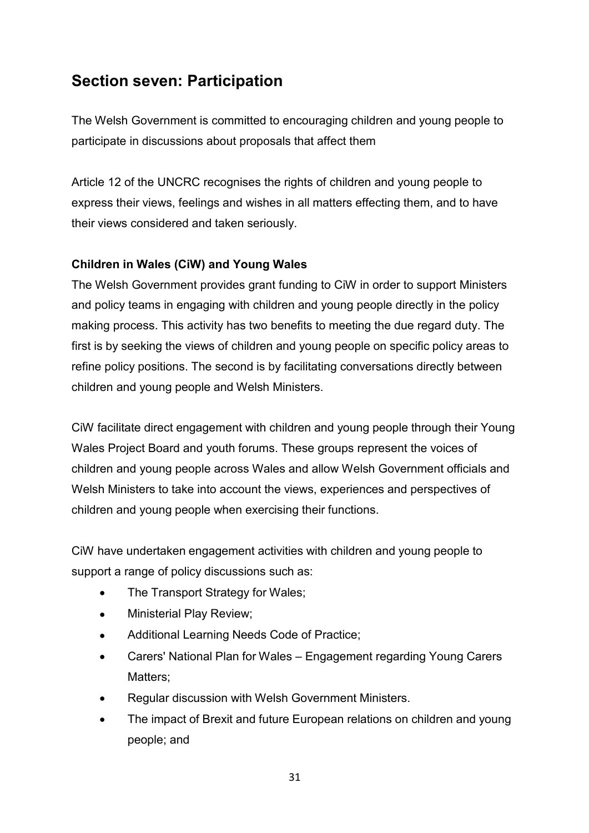### **Section seven: Participation**

The Welsh Government is committed to encouraging children and young people to participate in discussions about proposals that affect them

Article 12 of the UNCRC recognises the rights of children and young people to express their views, feelings and wishes in all matters effecting them, and to have their views considered and taken seriously.

#### **Children in Wales (CiW) and Young Wales**

The Welsh Government provides grant funding to CiW in order to support Ministers and policy teams in engaging with children and young people directly in the policy making process. This activity has two benefits to meeting the due regard duty. The first is by seeking the views of children and young people on specific policy areas to refine policy positions. The second is by facilitating conversations directly between children and young people and Welsh Ministers.

CiW facilitate direct engagement with children and young people through their Young Wales Project Board and youth forums. These groups represent the voices of children and young people across Wales and allow Welsh Government officials and Welsh Ministers to take into account the views, experiences and perspectives of children and young people when exercising their functions.

CiW have undertaken engagement activities with children and young people to support a range of policy discussions such as:

- The Transport Strategy for Wales;
- Ministerial Play Review;
- Additional Learning Needs Code of Practice;
- Carers' National Plan for Wales – Engagement regarding Young Carers Matters;
- Regular discussion with Welsh Government Ministers. •
- The impact of Brexit and future European relations on children and young people; and •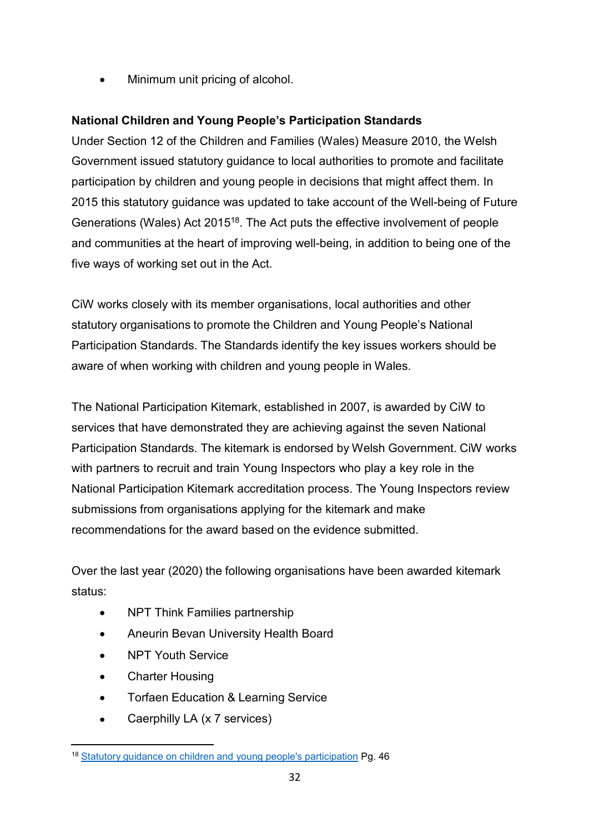• Minimum unit pricing of alcohol.

#### **National Children and Young People's Participation Standards**

Under Section 12 of the Children and Families (Wales) Measure 2010, the Welsh Government issued statutory guidance to local authorities to promote and facilitate participation by children and young people in decisions that might affect them. In 2015 this statutory guidance was updated to take account of the Well-being of Future Generations (Wales) Act 201518. The Act puts the effective involvement of people and communities at the heart of improving well-being, in addition to being one of the five ways of working set out in the Act.

CiW works closely with its member organisations, local authorities and other statutory organisations to promote the Children and Young People's National Participation Standards. The Standards identify the key issues workers should be aware of when working with children and young people in Wales.

The National Participation Kitemark, established in 2007, is awarded by CiW to services that have demonstrated they are achieving against the seven National Participation Standards. The kitemark is endorsed by Welsh Government. CiW works with partners to recruit and train Young Inspectors who play a key role in the National Participation Kitemark accreditation process. The Young Inspectors review submissions from organisations applying for the kitemark and make recommendations for the award based on the evidence submitted.

Over the last year (2020) the following organisations have been awarded kitemark status:

- NPT Think Families partnership
- Aneurin Bevan University Health Board
- NPT Youth Service
- Charter Housing
- Torfaen Education & Learning Service
- Caerphilly LA (x 7 services)

<sup>18</sup> Statutory guidance on children and young people's [participation](https://gov.wales/sites/default/files/publications/2019-02/spsf-3-collective-role-public-services-boards.pdf) Pg. 46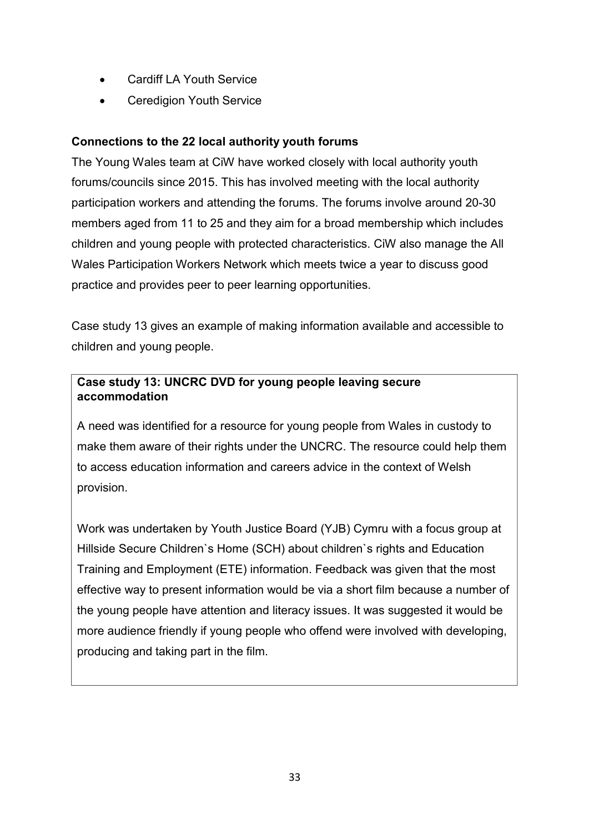- Cardiff LA Youth Service
- Ceredigion Youth Service

#### **Connections to the 22 local authority youth forums**

The Young Wales team at CiW have worked closely with local authority youth forums/councils since 2015. This has involved meeting with the local authority participation workers and attending the forums. The forums involve around 20-30 members aged from 11 to 25 and they aim for a broad membership which includes children and young people with protected characteristics. CiW also manage the All Wales Participation Workers Network which meets twice a year to discuss good practice and provides peer to peer learning opportunities.

Case study 13 gives an example of making information available and accessible to children and young people.

#### **Case study 13: UNCRC DVD for young people leaving secure accommodation**

A need was identified for a resource for young people from Wales in custody to make them aware of their rights under the UNCRC. The resource could help them to access education information and careers advice in the context of Welsh provision.

Work was undertaken by Youth Justice Board (YJB) Cymru with a focus group at Hillside Secure Children`s Home (SCH) about children`s rights and Education Training and Employment (ETE) information. Feedback was given that the most effective way to present information would be via a short film because a number of the young people have attention and literacy issues. It was suggested it would be more audience friendly if young people who offend were involved with developing, producing and taking part in the film.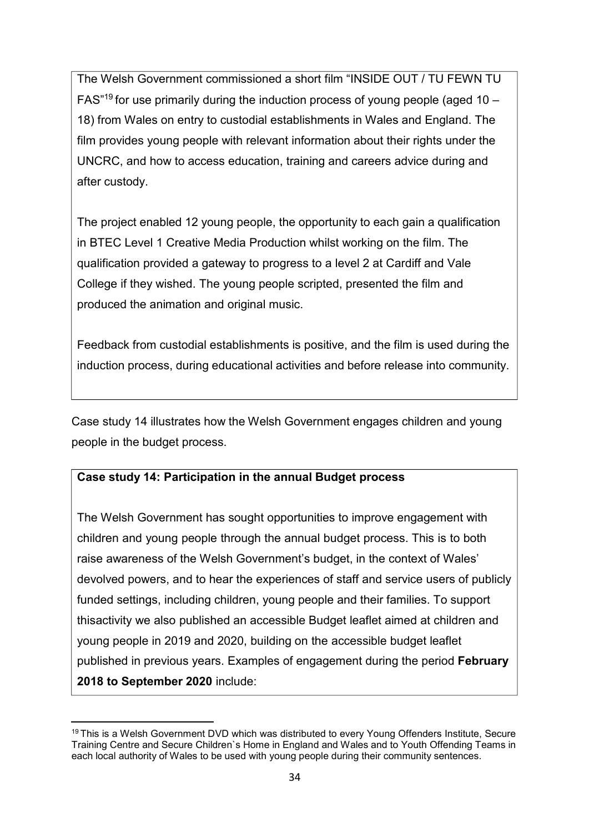The Welsh Government commissioned a short film "INSIDE OUT / TU FEWN TU FAS<sup>"19</sup> for use primarily during the induction process of young people (aged  $10 -$ 18) from Wales on entry to custodial establishments in Wales and England. The film provides young people with relevant information about their rights under the UNCRC, and how to access education, training and careers advice during and after custody.

The project enabled 12 young people, the opportunity to each gain a qualification in BTEC Level 1 Creative Media Production whilst working on the film. The qualification provided a gateway to progress to a level 2 at Cardiff and Vale College if they wished. The young people scripted, presented the film and produced the animation and original music.

Feedback from custodial establishments is positive, and the film is used during the induction process, during educational activities and before release into community.

Case study 14 illustrates how the Welsh Government engages children and young people in the budget process.

#### **Case study 14: Participation in the annual Budget process**

The Welsh Government has sought opportunities to improve engagement with children and young people through the annual budget process. This is to both raise awareness of the Welsh Government's budget, in the context of Wales' devolved powers, and to hear the experiences of staff and service users of publicly funded settings, including children, young people and their families. To support thisactivity we also published an accessible Budget leaflet aimed at children and young people in 2019 and 2020, building on the accessible budget leaflet published in previous years. Examples of engagement during the period **February 2018 to September 2020** include:

<sup>&</sup>lt;sup>19</sup> This is a Welsh Government DVD which was distributed to every Young Offenders Institute, Secure Training Centre and Secure Children`s Home in England and Wales and to Youth Offending Teams in each local authority of Wales to be used with young people during their community sentences.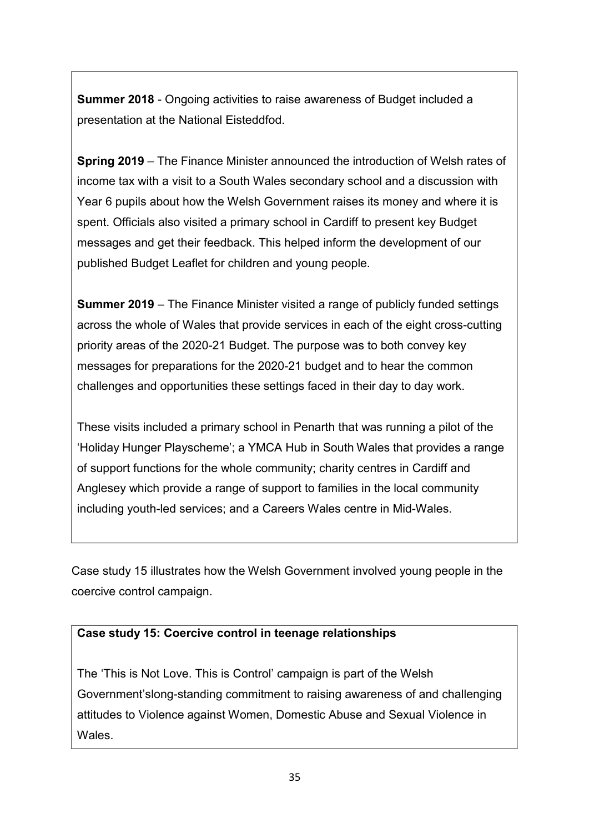**Summer 2018** - Ongoing activities to raise awareness of Budget included a presentation at the National Eisteddfod.

**Spring 2019** – The Finance Minister announced the introduction of Welsh rates of income tax with a visit to a South Wales secondary school and a discussion with Year 6 pupils about how the Welsh Government raises its money and where it is spent. Officials also visited a primary school in Cardiff to present key Budget messages and get their feedback. This helped inform the development of our published Budget Leaflet for children and young people.

**Summer 2019** – The Finance Minister visited a range of publicly funded settings across the whole of Wales that provide services in each of the eight cross-cutting priority areas of the 2020-21 Budget. The purpose was to both convey key messages for preparations for the 2020-21 budget and to hear the common challenges and opportunities these settings faced in their day to day work.

These visits included a primary school in Penarth that was running a pilot of the 'Holiday Hunger Playscheme'; a YMCA Hub in South Wales that provides a range of support functions for the whole community; charity centres in Cardiff and Anglesey which provide a range of support to families in the local community including youth-led services; and a Careers Wales centre in Mid-Wales.

Case study 15 illustrates how the Welsh Government involved young people in the coercive control campaign.

#### **Case study 15: Coercive control in teenage relationships**

The 'This is Not Love. This is Control' campaign is part of the Welsh Government'slong-standing commitment to raising awareness of and challenging attitudes to Violence against Women, Domestic Abuse and Sexual Violence in Wales.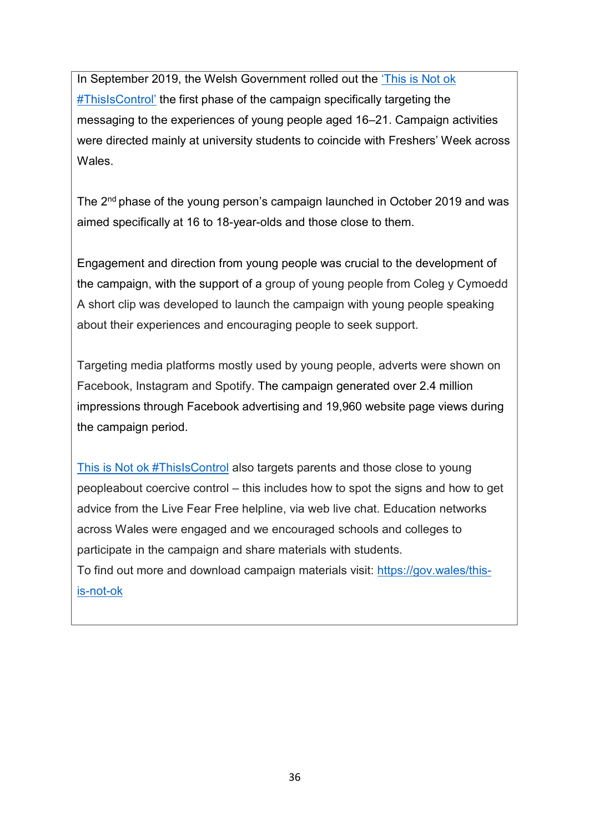In September 2019, the Welsh Government rolled out the ['This is Not ok](https://gov.wales/this-is-not-ok) [#ThisIsControl'](https://gov.wales/this-is-not-ok) the first phase of the campaign specifically targeting the messaging to the experiences of young people aged 16–21. Campaign activities were directed mainly at university students to coincide with Freshers' Week across Wales.

The 2<sup>nd</sup> phase of the young person's campaign launched in October 2019 and was aimed specifically at 16 to 18-year-olds and those close to them.

Engagement and direction from young people was crucial to the development of the campaign, with the support of a group of young people from Coleg y Cymoedd A short clip was developed to launch the campaign with young people speaking about their experiences and encouraging people to seek support.

Targeting media platforms mostly used by young people, adverts were shown on Facebook, Instagram and Spotify. The campaign generated over 2.4 million impressions through Facebook advertising and 19,960 website page views during the campaign period.

[This is Not ok #ThisIsControl](https://gov.wales/this-is-not-ok) also targets parents and those close to young peopleabout coercive control – this includes how to spot the signs and how to get advice from the Live Fear Free helpline, via web live chat. Education networks across Wales were engaged and we encouraged schools and colleges to participate in the campaign and share materials with students.

To find out more and download campaign materials visit: [https://gov.wales/this](https://gov.wales/this-is-not-ok)[is-not-ok](https://gov.wales/this-is-not-ok)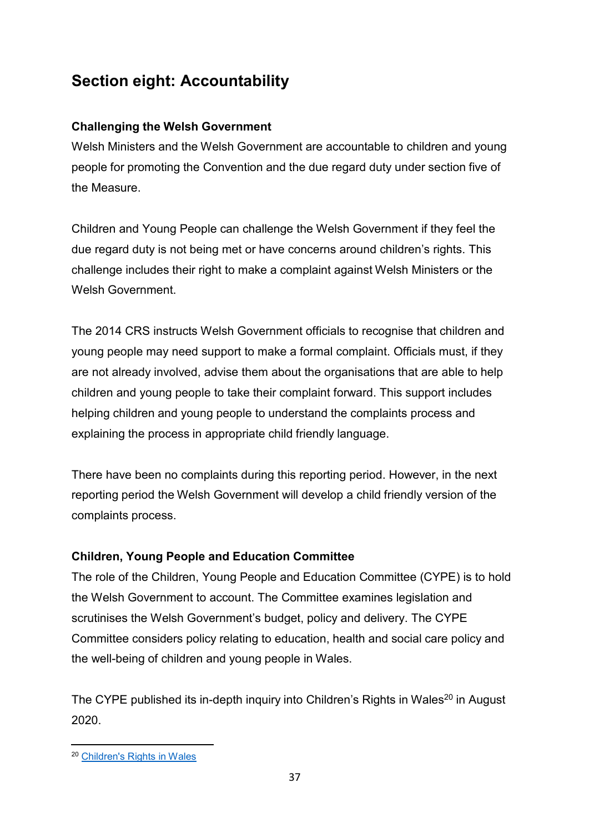### **Section eight: Accountability**

#### **Challenging the Welsh Government**

Welsh Ministers and the Welsh Government are accountable to children and young people for promoting the Convention and the due regard duty under section five of the Measure.

Children and Young People can challenge the Welsh Government if they feel the due regard duty is not being met or have concerns around children's rights. This challenge includes their right to make a complaint against Welsh Ministers or the Welsh Government.

The 2014 CRS instructs Welsh Government officials to recognise that children and young people may need support to make a formal complaint. Officials must, if they are not already involved, advise them about the organisations that are able to help children and young people to take their complaint forward. This support includes helping children and young people to understand the complaints process and explaining the process in appropriate child friendly language.

There have been no complaints during this reporting period. However, in the next reporting period the Welsh Government will develop a child friendly version of the complaints process.

#### **Children, Young People and Education Committee**

The role of the Children, Young People and Education Committee (CYPE) is to hold the Welsh Government to account. The Committee examines legislation and scrutinises the Welsh Government's budget, policy and delivery. The CYPE Committee considers policy relating to education, health and social care policy and the well-being of children and young people in Wales.

The CYPE published its in-depth inquiry into Children's Rights in Wales<sup>20</sup> in August 2020.

<sup>20</sup> [Children's Rights in](https://senedd.wales/laid%20documents/cr-ld13405-r/cr-ld13405-r-e.pdf) Wales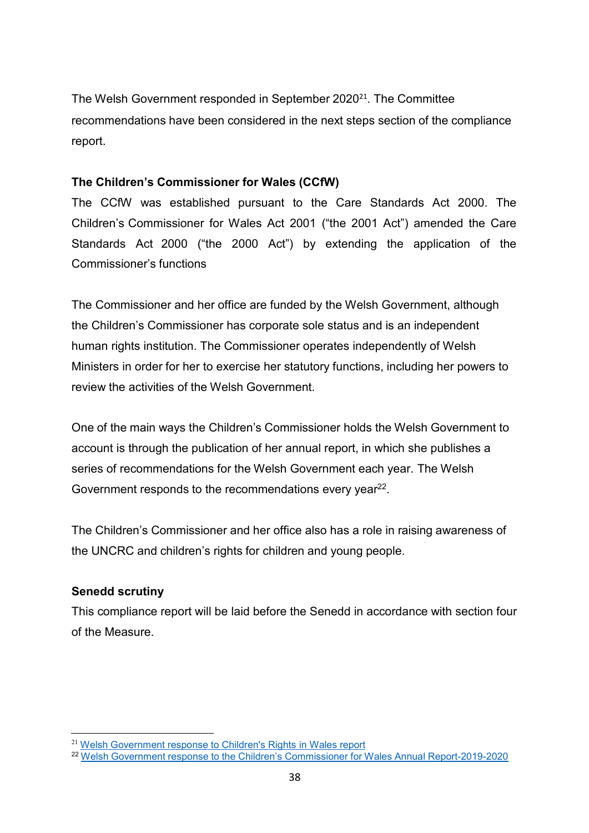The Welsh Government responded in September 2020<sup>21</sup>. The Committee recommendations have been considered in the next steps section of the compliance report.

#### **The Children's Commissioner for Wales (CCfW)**

The CCfW was established pursuant to the Care Standards Act 2000. The Children's Commissioner for Wales Act 2001 ("the 2001 Act") amended the Care Standards Act 2000 ("the 2000 Act") by extending the application of the Commissioner's functions

The Commissioner and her office are funded by the Welsh Government, although the Children's Commissioner has corporate sole status and is an independent human rights institution. The Commissioner operates independently of Welsh Ministers in order for her to exercise her statutory functions, including her powers to review the activities of the Welsh Government.

One of the main ways the Children's Commissioner holds the Welsh Government to account is through the publication of her annual report, in which she publishes a series of recommendations for the Welsh Government each year. The Welsh Government responds to the recommendations every year<sup>22</sup>.

The Children's Commissioner and her office also has a role in raising awareness of the UNCRC and children's rights for children and young people.

#### **Senedd scrutiny**

This compliance report will be laid before the Senedd in accordance with section four of the Measure.

<sup>21</sup> Welsh Government response to [Children's Rights](https://business.senedd.wales/documents/s105741/Welsh%20Government%20response%20-%2023%20September%202020.pdf) in Wales report

<sup>22</sup> Welsh Government response to the Children's Commissioner for Wales Annual [Report-2019-2020](https://gov.wales/childrens-commissioner-wales-annual-report-2019-2020-welsh-government-response)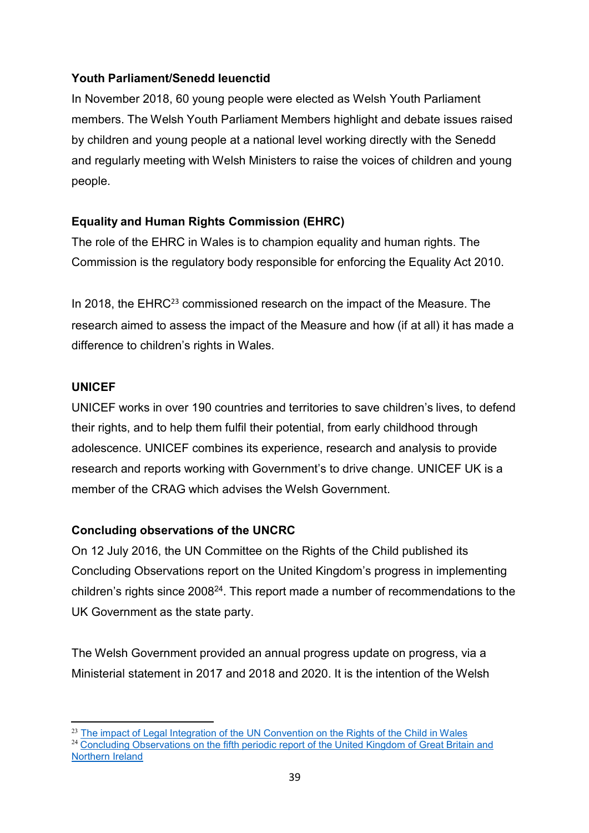#### **Youth Parliament/Senedd Ieuenctid**

In November 2018, 60 young people were elected as Welsh Youth Parliament members. The Welsh Youth Parliament Members highlight and debate issues raised by children and young people at a national level working directly with the Senedd and regularly meeting with Welsh Ministers to raise the voices of children and young people.

#### **Equality and Human Rights Commission (EHRC)**

The role of the EHRC in Wales is to champion equality and human rights. The Commission is the regulatory body responsible for enforcing the Equality Act 2010.

In 2018, the EHRC<sup>23</sup> commissioned research on the impact of the Measure. The research aimed to assess the impact of the Measure and how (if at all) it has made a difference to children's rights in Wales.

#### **UNICEF**

UNICEF works in over 190 countries and territories to save children's lives, to defend their rights, and to help them fulfil their potential, from early childhood through adolescence. UNICEF combines its experience, research and analysis to provide research and reports working with Government's to drive change. UNICEF UK is a member of the CRAG which advises the Welsh Government.

#### **Concluding observations of the UNCRC**

On 12 July 2016, the UN Committee on the Rights of the Child published its Concluding Observations report on the United Kingdom's progress in implementing children's rights since 200824. This report made a number of recommendations to the UK Government as the state party.

The Welsh Government provided an annual progress update on progress, via a Ministerial statement in 2017 and 2018 and 2020. It is the intention of the Welsh

 $23$  The impact of Legal Integration of the UN [Convention on](https://www.equalityhumanrights.com/sites/default/files/the_impact_of_legal_integration_of_the_un_convention_on_the_rights_of_the_child_in_wales_eng.pdf) the Rights of the Child in Wales <sup>24</sup> Concluding Observations on the fifth periodic report of the United Kingdom of Great Britain and Northern Ireland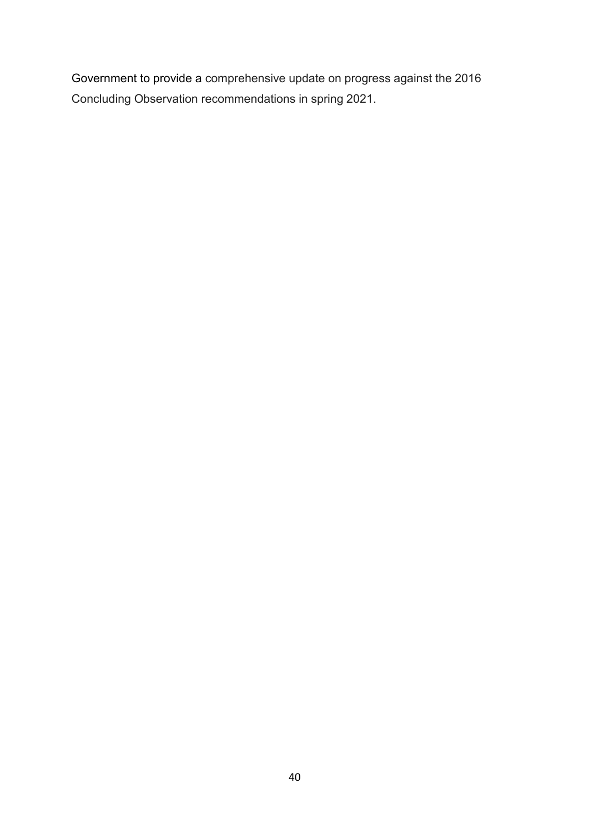Government to provide a comprehensive update on progress against the 2016 Concluding Observation recommendations in spring 2021.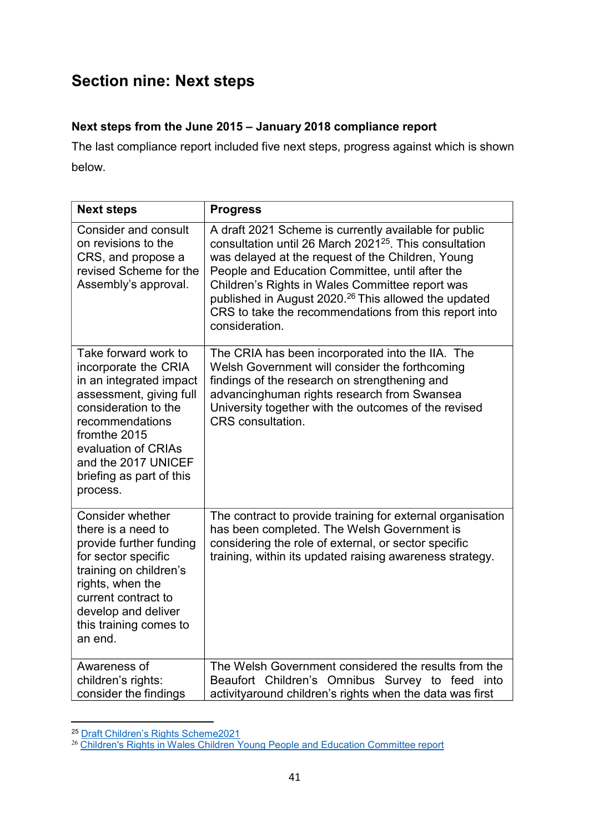### **Section nine: Next steps**

#### **Next steps from the June 2015 – January 2018 compliance report**

The last compliance report included five next steps, progress against which is shown below.

| <b>Next steps</b>                                                                                                                                                                                                                                   | <b>Progress</b>                                                                                                                                                                                                                                                                                                                                                                                                                       |
|-----------------------------------------------------------------------------------------------------------------------------------------------------------------------------------------------------------------------------------------------------|---------------------------------------------------------------------------------------------------------------------------------------------------------------------------------------------------------------------------------------------------------------------------------------------------------------------------------------------------------------------------------------------------------------------------------------|
| <b>Consider and consult</b><br>on revisions to the<br>CRS, and propose a<br>revised Scheme for the<br>Assembly's approval.                                                                                                                          | A draft 2021 Scheme is currently available for public<br>consultation until 26 March 2021 <sup>25</sup> . This consultation<br>was delayed at the request of the Children, Young<br>People and Education Committee, until after the<br>Children's Rights in Wales Committee report was<br>published in August 2020. <sup>26</sup> This allowed the updated<br>CRS to take the recommendations from this report into<br>consideration. |
| Take forward work to<br>incorporate the CRIA<br>in an integrated impact<br>assessment, giving full<br>consideration to the<br>recommendations<br>fromthe 2015<br>evaluation of CRIAs<br>and the 2017 UNICEF<br>briefing as part of this<br>process. | The CRIA has been incorporated into the IIA. The<br>Welsh Government will consider the forthcoming<br>findings of the research on strengthening and<br>advancinghuman rights research from Swansea<br>University together with the outcomes of the revised<br><b>CRS</b> consultation.                                                                                                                                                |
| <b>Consider whether</b><br>there is a need to<br>provide further funding<br>for sector specific<br>training on children's<br>rights, when the<br>current contract to<br>develop and deliver<br>this training comes to<br>an end.                    | The contract to provide training for external organisation<br>has been completed. The Welsh Government is<br>considering the role of external, or sector specific<br>training, within its updated raising awareness strategy.                                                                                                                                                                                                         |
| Awareness of<br>children's rights:<br>consider the findings                                                                                                                                                                                         | The Welsh Government considered the results from the<br>Beaufort Children's Omnibus Survey to feed into<br>activityaround children's rights when the data was first                                                                                                                                                                                                                                                                   |

<sup>25</sup> Draft Children's Rights [Scheme2021](https://gov.wales/draft-childrens-rights-scheme-2021)

<sup>&</sup>lt;sup>26</sup> Children's Rights in Wales [Children Young](https://senedd.wales/laid%20documents/cr-ld13405-r/cr-ld13405-r-e.pdf) People and Education Committee report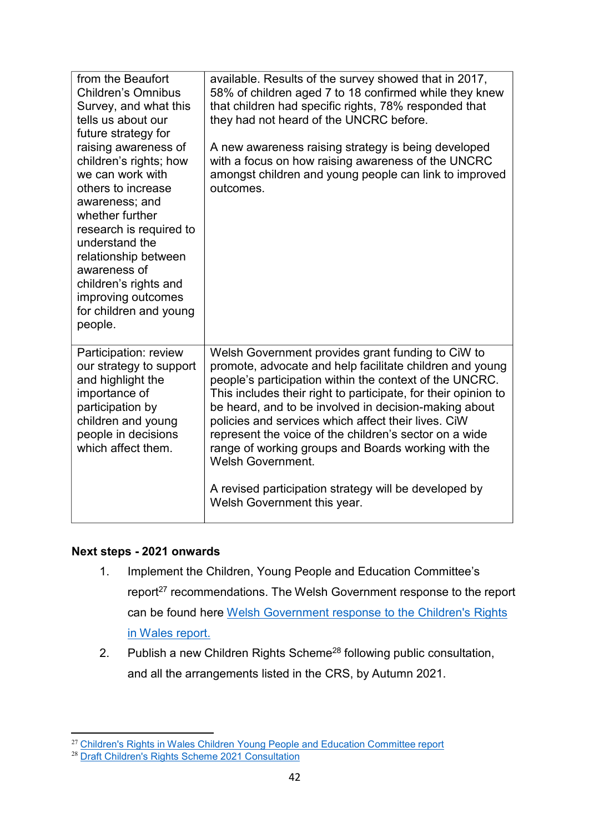| from the Beaufort<br><b>Children's Omnibus</b><br>Survey, and what this<br>tells us about our<br>future strategy for<br>raising awareness of<br>children's rights; how<br>we can work with<br>others to increase<br>awareness; and<br>whether further<br>research is required to<br>understand the<br>relationship between<br>awareness of<br>children's rights and<br>improving outcomes<br>for children and young<br>people. | available. Results of the survey showed that in 2017,<br>58% of children aged 7 to 18 confirmed while they knew<br>that children had specific rights, 78% responded that<br>they had not heard of the UNCRC before.<br>A new awareness raising strategy is being developed<br>with a focus on how raising awareness of the UNCRC<br>amongst children and young people can link to improved<br>outcomes.                                                                                                                                                                                         |
|--------------------------------------------------------------------------------------------------------------------------------------------------------------------------------------------------------------------------------------------------------------------------------------------------------------------------------------------------------------------------------------------------------------------------------|-------------------------------------------------------------------------------------------------------------------------------------------------------------------------------------------------------------------------------------------------------------------------------------------------------------------------------------------------------------------------------------------------------------------------------------------------------------------------------------------------------------------------------------------------------------------------------------------------|
| Participation: review<br>our strategy to support<br>and highlight the<br>importance of<br>participation by<br>children and young<br>people in decisions<br>which affect them.                                                                                                                                                                                                                                                  | Welsh Government provides grant funding to CiW to<br>promote, advocate and help facilitate children and young<br>people's participation within the context of the UNCRC.<br>This includes their right to participate, for their opinion to<br>be heard, and to be involved in decision-making about<br>policies and services which affect their lives. CiW<br>represent the voice of the children's sector on a wide<br>range of working groups and Boards working with the<br><b>Welsh Government.</b><br>A revised participation strategy will be developed by<br>Welsh Government this year. |

#### **Next steps - 2021 onwards**

- 1. Implement the Children, Young People and Education Committee's report<sup>27</sup> recommendations. The Welsh Government response to the report can be found here Welsh [Government](https://business.senedd.wales/documents/s105741/Welsh%20Government%20response%20-%2023%20September%202020.pdf) response to the Children's Rights in [Wales report.](https://business.senedd.wales/documents/s105741/Welsh%20Government%20response%20-%2023%20September%202020.pdf)
- Publish a new Children Rights Scheme<sup>28</sup> following public consultation, and all the arrangements listed in the CRS, by Autumn 2021. 2.

<sup>&</sup>lt;sup>27</sup> Children's Rights in Wales [Children Young](https://senedd.wales/laid%20documents/cr-ld13405-r/cr-ld13405-r-e.pdf) People and Education Committee report

<sup>&</sup>lt;sup>28</sup> Draft Children's Rights Scheme 2021 [Consultation](https://gov.wales/draft-childrens-rights-scheme-2021)